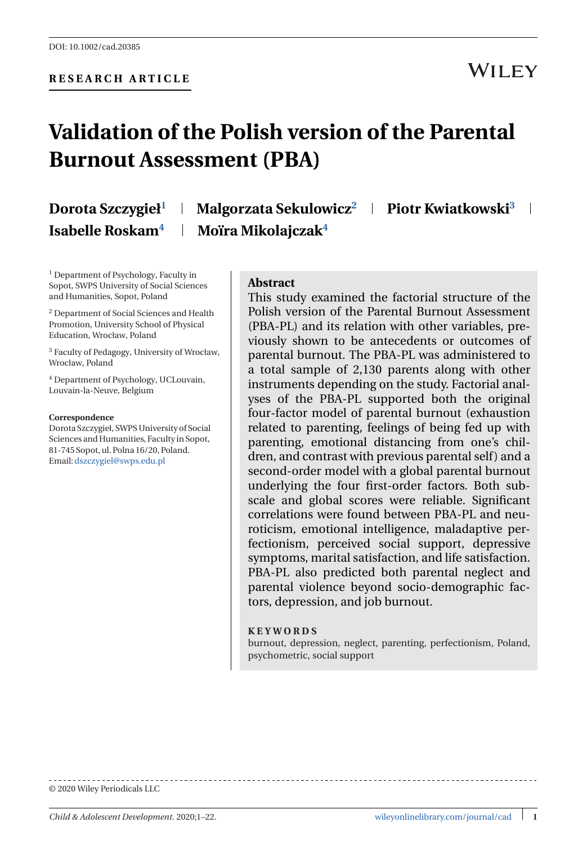## **WILEY**

# **Validation of the Polish version of the Parental Burnout Assessment (PBA)**

# **Dorota Szczygieł**

**<sup>1</sup> Malgorzata Sekulowicz<sup>2</sup> Piotr Kwiatkowski<sup>3</sup> Isabelle Roskam4 Moïra Mikolajczak4**

<sup>1</sup> Department of Psychology, Faculty in Sopot, SWPS University of Social Sciences and Humanities, Sopot, Poland

<sup>2</sup> Department of Social Sciences and Health Promotion, University School of Physical Education, Wrocław, Poland

<sup>3</sup> Faculty of Pedagogy, University of Wrocław, Wrocław, Poland

<sup>4</sup> Department of Psychology, UCLouvain, Louvain-la-Neuve, Belgium

#### **Correspondence**

Dorota Szczygieł, SWPS University of Social Sciences and Humanities, Faculty in Sopot, 81-745 Sopot, ul. Polna 16/20, Poland. Email:[dszczygiel@swps.edu.pl](mailto:dszczygiel@swps.edu.pl)

#### **Abstract**

This study examined the factorial structure of the Polish version of the Parental Burnout Assessment (PBA-PL) and its relation with other variables, previously shown to be antecedents or outcomes of parental burnout. The PBA-PL was administered to a total sample of 2,130 parents along with other instruments depending on the study. Factorial analyses of the PBA-PL supported both the original four-factor model of parental burnout (exhaustion related to parenting, feelings of being fed up with parenting, emotional distancing from one's children, and contrast with previous parental self) and a second-order model with a global parental burnout underlying the four first-order factors. Both subscale and global scores were reliable. Significant correlations were found between PBA-PL and neuroticism, emotional intelligence, maladaptive perfectionism, perceived social support, depressive symptoms, marital satisfaction, and life satisfaction. PBA-PL also predicted both parental neglect and parental violence beyond socio-demographic factors, depression, and job burnout.

#### **KEYWORDS**

burnout, depression, neglect, parenting, perfectionism, Poland, psychometric, social support

© 2020 Wiley Periodicals LLC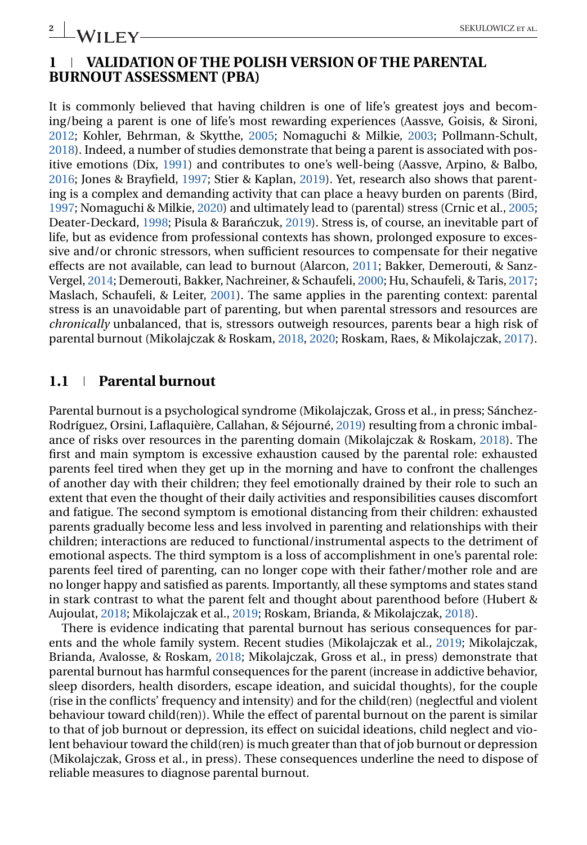**2 IM/II FV** 

## **1 VALIDATION OF THE POLISH VERSION OF THE PARENTAL BURNOUT ASSESSMENT (PBA)**

It is commonly believed that having children is one of life's greatest joys and becoming/being a parent is one of life's most rewarding experiences (Aassve, Goisis, & Sironi, [2012;](#page-18-0) Kohler, Behrman, & Skytthe, [2005;](#page-19-0) Nomaguchi & Milkie, [2003;](#page-20-0) Pollmann-Schult, [2018\)](#page-21-0). Indeed, a number of studies demonstrate that being a parent is associated with positive emotions (Dix, [1991\)](#page-19-0) and contributes to one's well-being (Aassve, Arpino, & Balbo, [2016;](#page-18-0) Jones & Brayfield, [1997;](#page-19-0) Stier & Kaplan, [2019\)](#page-21-0). Yet, research also shows that parenting is a complex and demanding activity that can place a heavy burden on parents (Bird, [1997;](#page-18-0) Nomaguchi & Milkie, [2020\)](#page-20-0) and ultimately lead to (parental) stress (Crnic et al., [2005;](#page-19-0) Deater-Deckard, [1998;](#page-19-0) Pisula & Baranczuk, [2019\)](#page-21-0). Stress is, of course, an inevitable part of life, but as evidence from professional contexts has shown, prolonged exposure to excessive and/or chronic stressors, when sufficient resources to compensate for their negative effects are not available, can lead to burnout (Alarcon, [2011;](#page-18-0) Bakker, Demerouti, & Sanz-Vergel, [2014;](#page-18-0) Demerouti, Bakker, Nachreiner, & Schaufeli, [2000;](#page-19-0) Hu, Schaufeli, & Taris, [2017;](#page-19-0) Maslach, Schaufeli, & Leiter, [2001\)](#page-20-0). The same applies in the parenting context: parental stress is an unavoidable part of parenting, but when parental stressors and resources are *chronically* unbalanced, that is, stressors outweigh resources, parents bear a high risk of parental burnout (Mikolajczak & Roskam, [2018,](#page-20-0) [2020;](#page-20-0) Roskam, Raes, & Mikolajczak, [2017\)](#page-21-0).

#### **1.1 Parental burnout**

Parental burnout is a psychological syndrome (Mikolajczak, Gross et al., in press; Sánchez-Rodríguez, Orsini, Laflaquière, Callahan, & Séjourné, [2019\)](#page-21-0) resulting from a chronic imbalance of risks over resources in the parenting domain (Mikolajczak & Roskam, [2018\)](#page-20-0). The first and main symptom is excessive exhaustion caused by the parental role: exhausted parents feel tired when they get up in the morning and have to confront the challenges of another day with their children; they feel emotionally drained by their role to such an extent that even the thought of their daily activities and responsibilities causes discomfort and fatigue. The second symptom is emotional distancing from their children: exhausted parents gradually become less and less involved in parenting and relationships with their children; interactions are reduced to functional/instrumental aspects to the detriment of emotional aspects. The third symptom is a loss of accomplishment in one's parental role: parents feel tired of parenting, can no longer cope with their father/mother role and are no longer happy and satisfied as parents. Importantly, all these symptoms and states stand in stark contrast to what the parent felt and thought about parenthood before (Hubert & Aujoulat, [2018;](#page-19-0) Mikolajczak et al., [2019;](#page-20-0) Roskam, Brianda, & Mikolajczak, [2018\)](#page-21-0).

There is evidence indicating that parental burnout has serious consequences for parents and the whole family system. Recent studies (Mikolajczak et al., [2019;](#page-20-0) Mikolajczak, Brianda, Avalosse, & Roskam, [2018;](#page-20-0) Mikolajczak, Gross et al., in press) demonstrate that parental burnout has harmful consequences for the parent (increase in addictive behavior, sleep disorders, health disorders, escape ideation, and suicidal thoughts), for the couple (rise in the conflicts' frequency and intensity) and for the child(ren) (neglectful and violent behaviour toward child(ren)). While the effect of parental burnout on the parent is similar to that of job burnout or depression, its effect on suicidal ideations, child neglect and violent behaviour toward the child(ren) is much greater than that of job burnout or depression (Mikolajczak, Gross et al., in press). These consequences underline the need to dispose of reliable measures to diagnose parental burnout.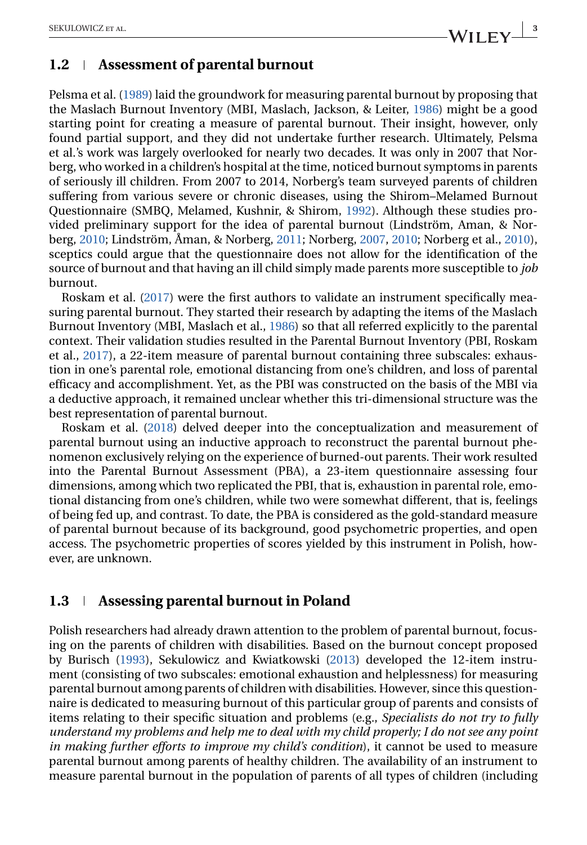### **1.2 Assessment of parental burnout**

Pelsma et al. [\(1989\)](#page-20-0) laid the groundwork for measuring parental burnout by proposing that the Maslach Burnout Inventory (MBI, Maslach, Jackson, & Leiter, [1986\)](#page-20-0) might be a good starting point for creating a measure of parental burnout. Their insight, however, only found partial support, and they did not undertake further research. Ultimately, Pelsma et al.'s work was largely overlooked for nearly two decades. It was only in 2007 that Norberg, who worked in a children's hospital at the time, noticed burnout symptoms in parents of seriously ill children. From 2007 to 2014, Norberg's team surveyed parents of children suffering from various severe or chronic diseases, using the Shirom–Melamed Burnout Questionnaire (SMBQ, Melamed, Kushnir, & Shirom, [1992\)](#page-20-0). Although these studies provided preliminary support for the idea of parental burnout (Lindström, Aman, & Norberg, [2010;](#page-19-0) Lindström, Åman, & Norberg, [2011;](#page-19-0) Norberg, [2007,](#page-20-0) [2010;](#page-20-0) Norberg et al., [2010\)](#page-20-0), sceptics could argue that the questionnaire does not allow for the identification of the source of burnout and that having an ill child simply made parents more susceptible to *job* burnout.

Roskam et al. [\(2017\)](#page-21-0) were the first authors to validate an instrument specifically measuring parental burnout. They started their research by adapting the items of the Maslach Burnout Inventory (MBI, Maslach et al., [1986\)](#page-20-0) so that all referred explicitly to the parental context. Their validation studies resulted in the Parental Burnout Inventory (PBI, Roskam et al., [2017\)](#page-21-0), a 22-item measure of parental burnout containing three subscales: exhaustion in one's parental role, emotional distancing from one's children, and loss of parental efficacy and accomplishment. Yet, as the PBI was constructed on the basis of the MBI via a deductive approach, it remained unclear whether this tri-dimensional structure was the best representation of parental burnout.

Roskam et al. [\(2018\)](#page-21-0) delved deeper into the conceptualization and measurement of parental burnout using an inductive approach to reconstruct the parental burnout phenomenon exclusively relying on the experience of burned-out parents. Their work resulted into the Parental Burnout Assessment (PBA), a 23-item questionnaire assessing four dimensions, among which two replicated the PBI, that is, exhaustion in parental role, emotional distancing from one's children, while two were somewhat different, that is, feelings of being fed up, and contrast. To date, the PBA is considered as the gold-standard measure of parental burnout because of its background, good psychometric properties, and open access. The psychometric properties of scores yielded by this instrument in Polish, however, are unknown.

## **1.3 Assessing parental burnout in Poland**

Polish researchers had already drawn attention to the problem of parental burnout, focusing on the parents of children with disabilities. Based on the burnout concept proposed by Burisch [\(1993\)](#page-18-0), Sekulowicz and Kwiatkowski [\(2013\)](#page-21-0) developed the 12-item instrument (consisting of two subscales: emotional exhaustion and helplessness) for measuring parental burnout among parents of children with disabilities. However, since this questionnaire is dedicated to measuring burnout of this particular group of parents and consists of items relating to their specific situation and problems (e.g., *Specialists do not try to fully understand my problems and help me to deal with my child properly; I do not see any point in making further efforts to improve my child's condition*), it cannot be used to measure parental burnout among parents of healthy children. The availability of an instrument to measure parental burnout in the population of parents of all types of children (including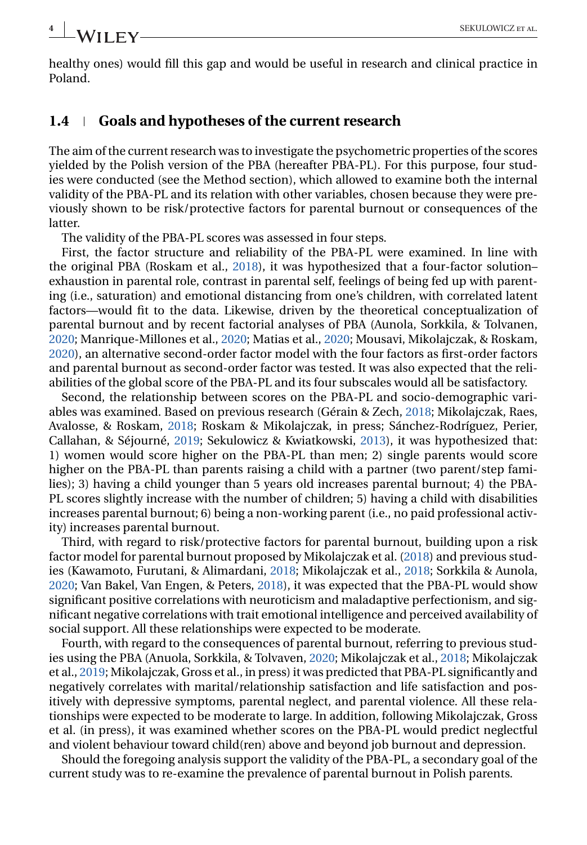**4 A/II FV** 

healthy ones) would fill this gap and would be useful in research and clinical practice in Poland.

#### **1.4 Goals and hypotheses of the current research**

The aim of the current research was to investigate the psychometric properties of the scores yielded by the Polish version of the PBA (hereafter PBA-PL). For this purpose, four studies were conducted (see the Method section), which allowed to examine both the internal validity of the PBA-PL and its relation with other variables, chosen because they were previously shown to be risk/protective factors for parental burnout or consequences of the latter.

The validity of the PBA-PL scores was assessed in four steps.

First, the factor structure and reliability of the PBA-PL were examined. In line with the original PBA (Roskam et al., [2018\)](#page-21-0), it was hypothesized that a four-factor solution– exhaustion in parental role, contrast in parental self, feelings of being fed up with parenting (i.e., saturation) and emotional distancing from one's children, with correlated latent factors—would fit to the data. Likewise, driven by the theoretical conceptualization of parental burnout and by recent factorial analyses of PBA (Aunola, Sorkkila, & Tolvanen, [2020;](#page-18-0) Manrique-Millones et al., [2020;](#page-20-0) Matias et al., [2020;](#page-20-0) Mousavi, Mikolajczak, & Roskam, [2020\)](#page-20-0), an alternative second-order factor model with the four factors as first-order factors and parental burnout as second-order factor was tested. It was also expected that the reliabilities of the global score of the PBA-PL and its four subscales would all be satisfactory.

Second, the relationship between scores on the PBA-PL and socio-demographic variables was examined. Based on previous research (Gérain & Zech, [2018;](#page-19-0) Mikolajczak, Raes, Avalosse, & Roskam, [2018;](#page-20-0) Roskam & Mikolajczak, in press; Sánchez-Rodríguez, Perier, Callahan, & Séjourné, [2019;](#page-21-0) Sekulowicz & Kwiatkowski, [2013\)](#page-21-0), it was hypothesized that: 1) women would score higher on the PBA-PL than men; 2) single parents would score higher on the PBA-PL than parents raising a child with a partner (two parent/step families); 3) having a child younger than 5 years old increases parental burnout; 4) the PBA-PL scores slightly increase with the number of children; 5) having a child with disabilities increases parental burnout; 6) being a non-working parent (i.e., no paid professional activity) increases parental burnout.

Third, with regard to risk/protective factors for parental burnout, building upon a risk factor model for parental burnout proposed by Mikolajczak et al. [\(2018\)](#page-20-0) and previous studies (Kawamoto, Furutani, & Alimardani, [2018;](#page-19-0) Mikolajczak et al., [2018;](#page-20-0) Sorkkila & Aunola, [2020;](#page-21-0) Van Bakel, Van Engen, & Peters, [2018\)](#page-21-0), it was expected that the PBA-PL would show significant positive correlations with neuroticism and maladaptive perfectionism, and significant negative correlations with trait emotional intelligence and perceived availability of social support. All these relationships were expected to be moderate.

Fourth, with regard to the consequences of parental burnout, referring to previous studies using the PBA (Anuola, Sorkkila, & Tolvaven, [2020;](#page-18-0) Mikolajczak et al., [2018;](#page-20-0) Mikolajczak et al., [2019;](#page-20-0) Mikolajczak, Gross et al., in press) it was predicted that PBA-PL significantly and negatively correlates with marital/relationship satisfaction and life satisfaction and positively with depressive symptoms, parental neglect, and parental violence. All these relationships were expected to be moderate to large. In addition, following Mikolajczak, Gross et al. (in press), it was examined whether scores on the PBA-PL would predict neglectful and violent behaviour toward child(ren) above and beyond job burnout and depression.

Should the foregoing analysis support the validity of the PBA-PL, a secondary goal of the current study was to re-examine the prevalence of parental burnout in Polish parents.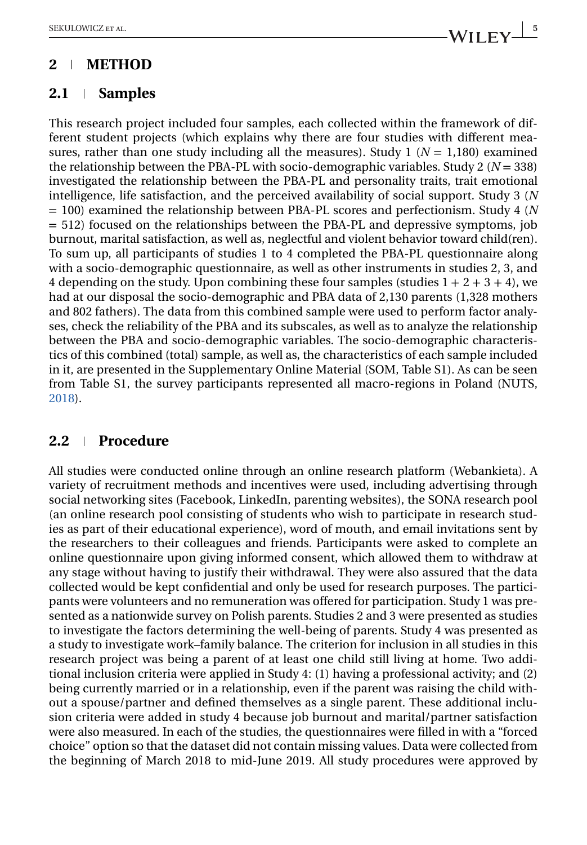## **2 METHOD**

## **2.1 Samples**

This research project included four samples, each collected within the framework of different student projects (which explains why there are four studies with different measures, rather than one study including all the measures). Study  $1 (N = 1,180)$  examined the relationship between the PBA-PL with socio-demographic variables. Study 2 ( $N = 338$ ) investigated the relationship between the PBA-PL and personality traits, trait emotional intelligence, life satisfaction, and the perceived availability of social support. Study 3 (*N* = 100) examined the relationship between PBA-PL scores and perfectionism. Study 4 (*N* = 512) focused on the relationships between the PBA-PL and depressive symptoms, job burnout, marital satisfaction, as well as, neglectful and violent behavior toward child(ren). To sum up, all participants of studies 1 to 4 completed the PBA-PL questionnaire along with a socio-demographic questionnaire, as well as other instruments in studies 2, 3, and 4 depending on the study. Upon combining these four samples (studies  $1 + 2 + 3 + 4$ ), we had at our disposal the socio-demographic and PBA data of 2,130 parents (1,328 mothers and 802 fathers). The data from this combined sample were used to perform factor analyses, check the reliability of the PBA and its subscales, as well as to analyze the relationship between the PBA and socio-demographic variables. The socio-demographic characteristics of this combined (total) sample, as well as, the characteristics of each sample included in it, are presented in the Supplementary Online Material (SOM, Table S1). As can be seen from Table S1, the survey participants represented all macro-regions in Poland (NUTS, [2018\)](#page-20-0).

## **2.2 Procedure**

All studies were conducted online through an online research platform (Webankieta). A variety of recruitment methods and incentives were used, including advertising through social networking sites (Facebook, LinkedIn, parenting websites), the SONA research pool (an online research pool consisting of students who wish to participate in research studies as part of their educational experience), word of mouth, and email invitations sent by the researchers to their colleagues and friends. Participants were asked to complete an online questionnaire upon giving informed consent, which allowed them to withdraw at any stage without having to justify their withdrawal. They were also assured that the data collected would be kept confidential and only be used for research purposes. The participants were volunteers and no remuneration was offered for participation. Study 1 was presented as a nationwide survey on Polish parents. Studies 2 and 3 were presented as studies to investigate the factors determining the well-being of parents. Study 4 was presented as a study to investigate work–family balance. The criterion for inclusion in all studies in this research project was being a parent of at least one child still living at home. Two additional inclusion criteria were applied in Study 4: (1) having a professional activity; and (2) being currently married or in a relationship, even if the parent was raising the child without a spouse/partner and defined themselves as a single parent. These additional inclusion criteria were added in study 4 because job burnout and marital/partner satisfaction were also measured. In each of the studies, the questionnaires were filled in with a "forced choice" option so that the dataset did not contain missing values. Data were collected from the beginning of March 2018 to mid-June 2019. All study procedures were approved by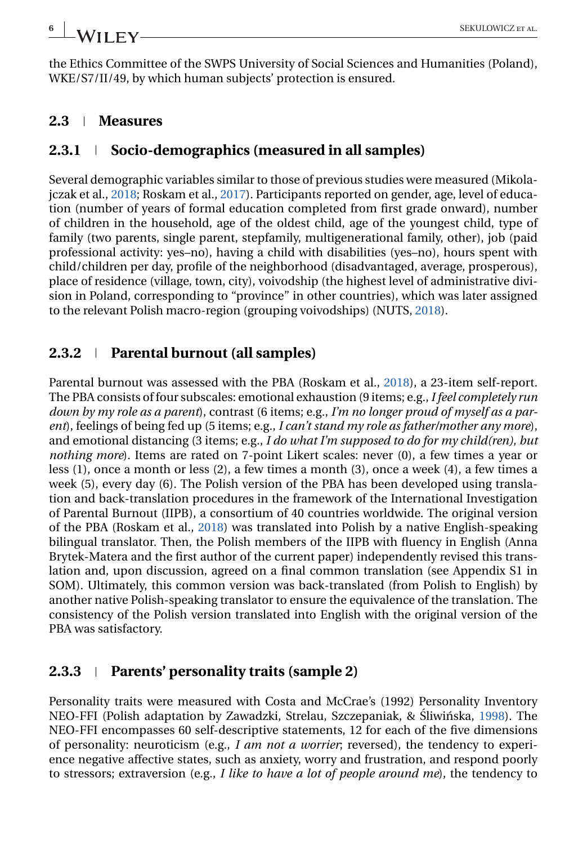the Ethics Committee of the SWPS University of Social Sciences and Humanities (Poland), WKE/S7/II/49, by which human subjects' protection is ensured.

### **2.3 Measures**

## **2.3.1 Socio-demographics (measured in all samples)**

Several demographic variables similar to those of previous studies were measured (Mikolajczak et al., [2018;](#page-20-0) Roskam et al., [2017\)](#page-21-0). Participants reported on gender, age, level of education (number of years of formal education completed from first grade onward), number of children in the household, age of the oldest child, age of the youngest child, type of family (two parents, single parent, stepfamily, multigenerational family, other), job (paid professional activity: yes–no), having a child with disabilities (yes–no), hours spent with child/children per day, profile of the neighborhood (disadvantaged, average, prosperous), place of residence (village, town, city), voivodship (the highest level of administrative division in Poland, corresponding to "province" in other countries), which was later assigned to the relevant Polish macro-region (grouping voivodships) (NUTS, [2018\)](#page-20-0).

## **2.3.2 Parental burnout (all samples)**

Parental burnout was assessed with the PBA (Roskam et al., [2018\)](#page-21-0), a 23-item self-report. The PBA consists of four subscales: emotional exhaustion (9 items; e.g., *I feel completely run down by my role as a parent*), contrast (6 items; e.g., *I'm no longer proud of myself as a parent*), feelings of being fed up (5 items; e.g., *I can't stand my role as father/mother any more*), and emotional distancing (3 items; e.g., *I do what I'm supposed to do for my child(ren), but nothing more*). Items are rated on 7-point Likert scales: never (0), a few times a year or less (1), once a month or less (2), a few times a month (3), once a week (4), a few times a week (5), every day (6). The Polish version of the PBA has been developed using translation and back-translation procedures in the framework of the International Investigation of Parental Burnout (IIPB), a consortium of 40 countries worldwide. The original version of the PBA (Roskam et al., [2018\)](#page-21-0) was translated into Polish by a native English-speaking bilingual translator. Then, the Polish members of the IIPB with fluency in English (Anna Brytek-Matera and the first author of the current paper) independently revised this translation and, upon discussion, agreed on a final common translation (see Appendix S1 in SOM). Ultimately, this common version was back-translated (from Polish to English) by another native Polish-speaking translator to ensure the equivalence of the translation. The consistency of the Polish version translated into English with the original version of the PBA was satisfactory.

## **2.3.3 Parents' personality traits (sample 2)**

Personality traits were measured with Costa and McCrae's (1992) Personality Inventory NEO-FFI (Polish adaptation by Zawadzki, Strelau, Szczepaniak, & Śliwińska, [1998\)](#page-21-0). The NEO-FFI encompasses 60 self-descriptive statements, 12 for each of the five dimensions of personality: neuroticism (e.g., *I am not a worrier*; reversed), the tendency to experience negative affective states, such as anxiety, worry and frustration, and respond poorly to stressors; extraversion (e.g., *I like to have a lot of people around me*), the tendency to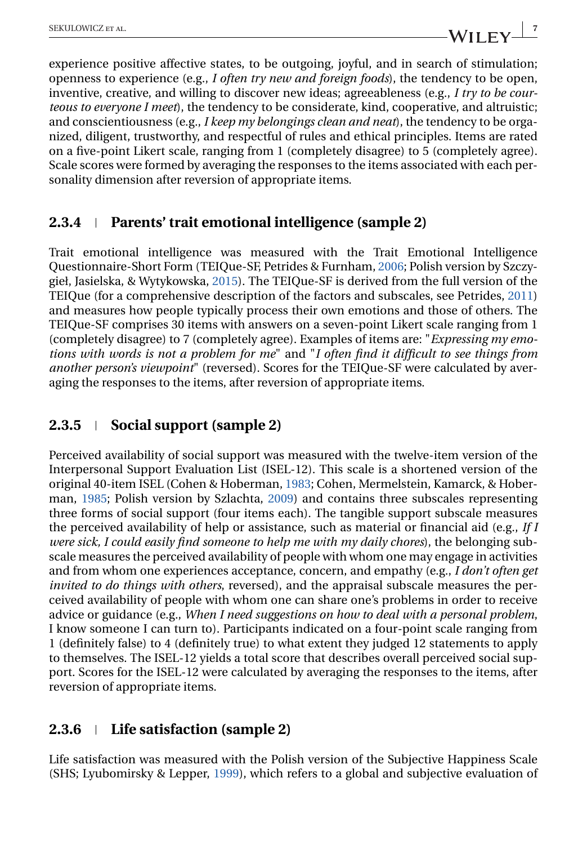experience positive affective states, to be outgoing, joyful, and in search of stimulation; openness to experience (e.g., *I often try new and foreign foods*), the tendency to be open, inventive, creative, and willing to discover new ideas; agreeableness (e.g., *I try to be courteous to everyone I meet*), the tendency to be considerate, kind, cooperative, and altruistic; and conscientiousness (e.g., *I keep my belongings clean and neat*), the tendency to be organized, diligent, trustworthy, and respectful of rules and ethical principles. Items are rated on a five-point Likert scale, ranging from 1 (completely disagree) to 5 (completely agree). Scale scores were formed by averaging the responses to the items associated with each personality dimension after reversion of appropriate items.

## **2.3.4 Parents' trait emotional intelligence (sample 2)**

Trait emotional intelligence was measured with the Trait Emotional Intelligence Questionnaire-Short Form (TEIQue-SF, Petrides & Furnham, [2006;](#page-20-0) Polish version by Szczygieł, Jasielska, & Wytykowska, [2015\)](#page-21-0). The TEIQue-SF is derived from the full version of the TEIQue (for a comprehensive description of the factors and subscales, see Petrides, [2011\)](#page-20-0) and measures how people typically process their own emotions and those of others. The TEIQue-SF comprises 30 items with answers on a seven-point Likert scale ranging from 1 (completely disagree) to 7 (completely agree). Examples of items are: "*Expressing my emotions with words is not a problem for me*" and "*I often find it difficult to see things from another person's viewpoint*" (reversed). Scores for the TEIQue-SF were calculated by averaging the responses to the items, after reversion of appropriate items.

## **2.3.5 Social support (sample 2)**

Perceived availability of social support was measured with the twelve-item version of the Interpersonal Support Evaluation List (ISEL-12). This scale is a shortened version of the original 40-item ISEL (Cohen & Hoberman, [1983;](#page-19-0) Cohen, Mermelstein, Kamarck, & Hoberman, [1985;](#page-19-0) Polish version by Szlachta, [2009\)](#page-21-0) and contains three subscales representing three forms of social support (four items each). The tangible support subscale measures the perceived availability of help or assistance, such as material or financial aid (e.g., *If I were sick, I could easily find someone to help me with my daily chores*), the belonging subscale measures the perceived availability of people with whom one may engage in activities and from whom one experiences acceptance, concern, and empathy (e.g., *I don't often get invited to do things with others*, reversed), and the appraisal subscale measures the perceived availability of people with whom one can share one's problems in order to receive advice or guidance (e.g., *When I need suggestions on how to deal with a personal problem*, I know someone I can turn to). Participants indicated on a four-point scale ranging from 1 (definitely false) to 4 (definitely true) to what extent they judged 12 statements to apply to themselves. The ISEL-12 yields a total score that describes overall perceived social support. Scores for the ISEL-12 were calculated by averaging the responses to the items, after reversion of appropriate items.

## **2.3.6 Life satisfaction (sample 2)**

Life satisfaction was measured with the Polish version of the Subjective Happiness Scale (SHS; Lyubomirsky & Lepper, [1999\)](#page-20-0), which refers to a global and subjective evaluation of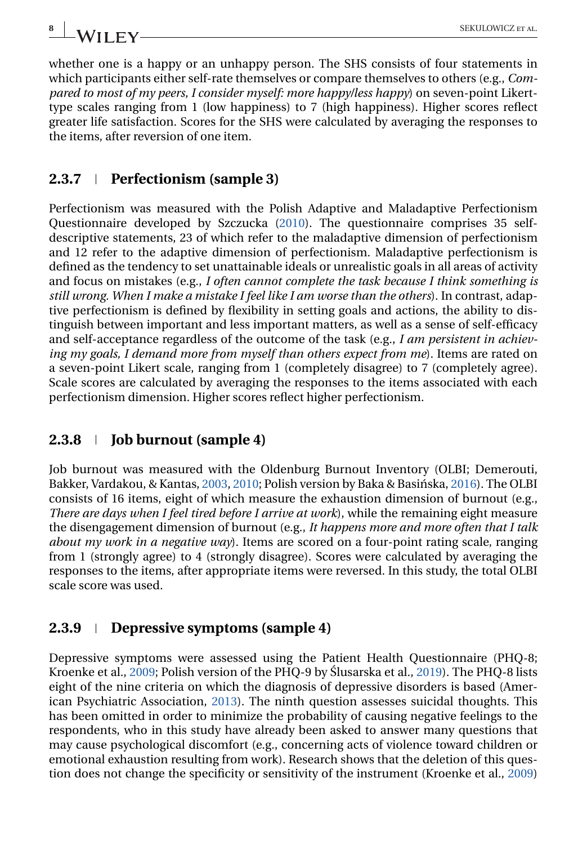whether one is a happy or an unhappy person. The SHS consists of four statements in which participants either self-rate themselves or compare themselves to others (e.g., *Compared to most of my peers, I consider myself: more happy/less happy*) on seven-point Likerttype scales ranging from 1 (low happiness) to 7 (high happiness). Higher scores reflect greater life satisfaction. Scores for the SHS were calculated by averaging the responses to the items, after reversion of one item.

#### **2.3.7 Perfectionism (sample 3)**

Perfectionism was measured with the Polish Adaptive and Maladaptive Perfectionism Questionnaire developed by Szczucka [\(2010\)](#page-21-0). The questionnaire comprises 35 selfdescriptive statements, 23 of which refer to the maladaptive dimension of perfectionism and 12 refer to the adaptive dimension of perfectionism. Maladaptive perfectionism is defined as the tendency to set unattainable ideals or unrealistic goals in all areas of activity and focus on mistakes (e.g., *I often cannot complete the task because I think something is still wrong. When I make a mistake I feel like I am worse than the others*). In contrast, adaptive perfectionism is defined by flexibility in setting goals and actions, the ability to distinguish between important and less important matters, as well as a sense of self-efficacy and self-acceptance regardless of the outcome of the task (e.g., *I am persistent in achieving my goals, I demand more from myself than others expect from me*). Items are rated on a seven-point Likert scale, ranging from 1 (completely disagree) to 7 (completely agree). Scale scores are calculated by averaging the responses to the items associated with each perfectionism dimension. Higher scores reflect higher perfectionism.

#### **2.3.8 Job burnout (sample 4)**

Job burnout was measured with the Oldenburg Burnout Inventory (OLBI; Demerouti, Bakker, Vardakou, & Kantas, [2003,](#page-19-0) [2010;](#page-19-0) Polish version by Baka & Basińska, [2016\)](#page-18-0). The OLBI consists of 16 items, eight of which measure the exhaustion dimension of burnout (e.g., *There are days when I feel tired before I arrive at work*), while the remaining eight measure the disengagement dimension of burnout (e.g., *It happens more and more often that I talk about my work in a negative way*). Items are scored on a four-point rating scale, ranging from 1 (strongly agree) to 4 (strongly disagree). Scores were calculated by averaging the responses to the items, after appropriate items were reversed. In this study, the total OLBI scale score was used.

### **2.3.9 Depressive symptoms (sample 4)**

Depressive symptoms were assessed using the Patient Health Questionnaire (PHQ-8; Kroenke et al., [2009;](#page-19-0) Polish version of the PHQ-9 by Slusarska et al., [2019\)](#page-21-0). The PHQ-8 lists eight of the nine criteria on which the diagnosis of depressive disorders is based (American Psychiatric Association, [2013\)](#page-18-0). The ninth question assesses suicidal thoughts. This has been omitted in order to minimize the probability of causing negative feelings to the respondents, who in this study have already been asked to answer many questions that may cause psychological discomfort (e.g., concerning acts of violence toward children or emotional exhaustion resulting from work). Research shows that the deletion of this question does not change the specificity or sensitivity of the instrument (Kroenke et al., [2009\)](#page-19-0)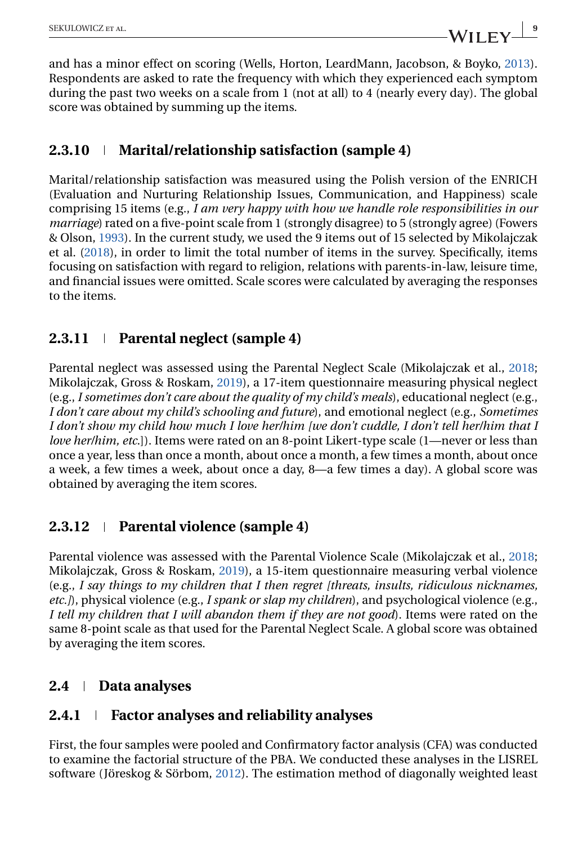and has a minor effect on scoring (Wells, Horton, LeardMann, Jacobson, & Boyko, [2013\)](#page-21-0). Respondents are asked to rate the frequency with which they experienced each symptom during the past two weeks on a scale from 1 (not at all) to 4 (nearly every day). The global score was obtained by summing up the items.

## **2.3.10 Marital/relationship satisfaction (sample 4)**

Marital/relationship satisfaction was measured using the Polish version of the ENRICH (Evaluation and Nurturing Relationship Issues, Communication, and Happiness) scale comprising 15 items (e.g., *I am very happy with how we handle role responsibilities in our marriage*) rated on a five-point scale from 1 (strongly disagree) to 5 (strongly agree) (Fowers & Olson, [1993\)](#page-19-0). In the current study, we used the 9 items out of 15 selected by Mikolajczak et al. [\(2018\)](#page-20-0), in order to limit the total number of items in the survey. Specifically, items focusing on satisfaction with regard to religion, relations with parents-in-law, leisure time, and financial issues were omitted. Scale scores were calculated by averaging the responses to the items.

## **2.3.11 Parental neglect (sample 4)**

Parental neglect was assessed using the Parental Neglect Scale (Mikolajczak et al., [2018;](#page-20-0) Mikolajczak, Gross & Roskam, [2019\)](#page-20-0), a 17-item questionnaire measuring physical neglect (e.g., *I sometimes don't care about the quality of my child's meals*), educational neglect (e.g., *I don't care about my child's schooling and future*), and emotional neglect (e.g., *Sometimes I don't show my child how much I love her/him [we don't cuddle, I don't tell her/him that I love her/him, etc.*]). Items were rated on an 8-point Likert-type scale (1—never or less than once a year, less than once a month, about once a month, a few times a month, about once a week, a few times a week, about once a day, 8—a few times a day). A global score was obtained by averaging the item scores.

## **2.3.12 Parental violence (sample 4)**

Parental violence was assessed with the Parental Violence Scale (Mikolajczak et al., [2018;](#page-20-0) Mikolajczak, Gross & Roskam, [2019\)](#page-20-0), a 15-item questionnaire measuring verbal violence (e.g., *I say things to my children that I then regret [threats, insults, ridiculous nicknames, etc.]*), physical violence (e.g., *I spank or slap my children*), and psychological violence (e.g., *I tell my children that I will abandon them if they are not good*). Items were rated on the same 8-point scale as that used for the Parental Neglect Scale. A global score was obtained by averaging the item scores.

## **2.4 Data analyses**

## **2.4.1 Factor analyses and reliability analyses**

First, the four samples were pooled and Confirmatory factor analysis (CFA) was conducted to examine the factorial structure of the PBA. We conducted these analyses in the LISREL software (Jöreskog & Sörbom, [2012\)](#page-19-0). The estimation method of diagonally weighted least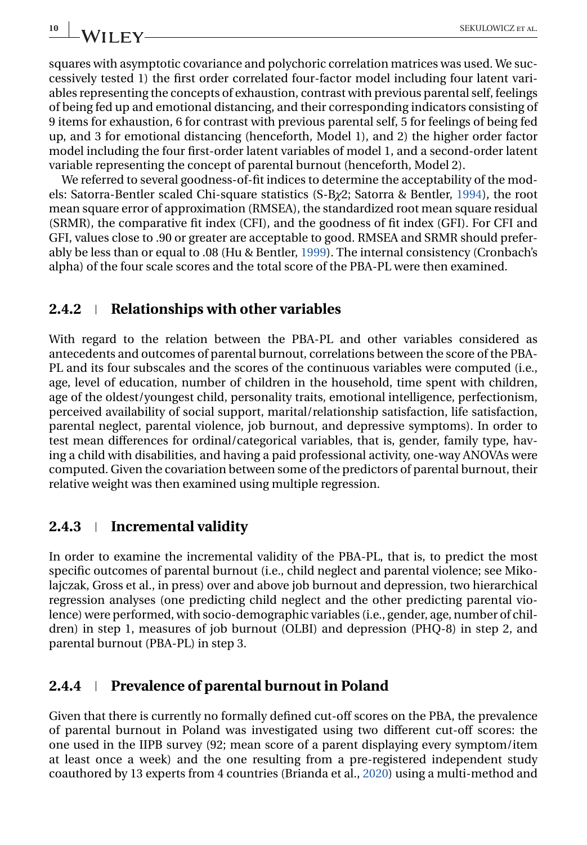squares with asymptotic covariance and polychoric correlation matrices was used. We successively tested 1) the first order correlated four-factor model including four latent variables representing the concepts of exhaustion, contrast with previous parental self, feelings of being fed up and emotional distancing, and their corresponding indicators consisting of 9 items for exhaustion, 6 for contrast with previous parental self, 5 for feelings of being fed up, and 3 for emotional distancing (henceforth, Model 1), and 2) the higher order factor model including the four first-order latent variables of model 1, and a second-order latent variable representing the concept of parental burnout (henceforth, Model 2).

We referred to several goodness-of-fit indices to determine the acceptability of the models: Satorra-Bentler scaled Chi-square statistics (S-B*χ*2; Satorra & Bentler, [1994\)](#page-21-0), the root mean square error of approximation (RMSEA), the standardized root mean square residual (SRMR), the comparative fit index (CFI), and the goodness of fit index (GFI). For CFI and GFI, values close to .90 or greater are acceptable to good. RMSEA and SRMR should preferably be less than or equal to .08 (Hu & Bentler, [1999\)](#page-19-0). The internal consistency (Cronbach's alpha) of the four scale scores and the total score of the PBA-PL were then examined.

#### **2.4.2 Relationships with other variables**

With regard to the relation between the PBA-PL and other variables considered as antecedents and outcomes of parental burnout, correlations between the score of the PBA-PL and its four subscales and the scores of the continuous variables were computed (i.e., age, level of education, number of children in the household, time spent with children, age of the oldest/youngest child, personality traits, emotional intelligence, perfectionism, perceived availability of social support, marital/relationship satisfaction, life satisfaction, parental neglect, parental violence, job burnout, and depressive symptoms). In order to test mean differences for ordinal/categorical variables, that is, gender, family type, having a child with disabilities, and having a paid professional activity, one-way ANOVAs were computed. Given the covariation between some of the predictors of parental burnout, their relative weight was then examined using multiple regression.

## **2.4.3 Incremental validity**

In order to examine the incremental validity of the PBA-PL, that is, to predict the most specific outcomes of parental burnout (i.e., child neglect and parental violence; see Mikolajczak, Gross et al., in press) over and above job burnout and depression, two hierarchical regression analyses (one predicting child neglect and the other predicting parental violence) were performed, with socio-demographic variables (i.e., gender, age, number of children) in step 1, measures of job burnout (OLBI) and depression (PHQ-8) in step 2, and parental burnout (PBA-PL) in step 3.

## **2.4.4 Prevalence of parental burnout in Poland**

Given that there is currently no formally defined cut-off scores on the PBA, the prevalence of parental burnout in Poland was investigated using two different cut-off scores: the one used in the IIPB survey (92; mean score of a parent displaying every symptom/item at least once a week) and the one resulting from a pre-registered independent study coauthored by 13 experts from 4 countries (Brianda et al., [2020\)](#page-18-0) using a multi-method and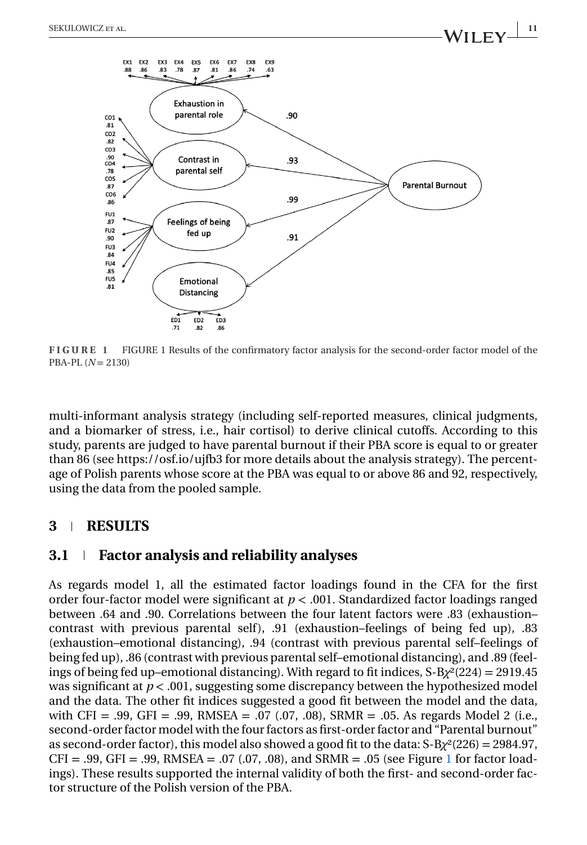

**FIGURE 1** FIGURE 1 Results of the confirmatory factor analysis for the second-order factor model of the PBA-PL (*N* = 2130)

multi-informant analysis strategy (including self-reported measures, clinical judgments, and a biomarker of stress, i.e., hair cortisol) to derive clinical cutoffs. According to this study, parents are judged to have parental burnout if their PBA score is equal to or greater than 86 (see https://osf.io/ujfb3 for more details about the analysis strategy). The percentage of Polish parents whose score at the PBA was equal to or above 86 and 92, respectively, using the data from the pooled sample.

#### **3 RESULTS**

#### **3.1 Factor analysis and reliability analyses**

As regards model 1, all the estimated factor loadings found in the CFA for the first order four-factor model were significant at *p* < .001. Standardized factor loadings ranged between .64 and .90. Correlations between the four latent factors were .83 (exhaustion– contrast with previous parental self),  $.91$  (exhaustion–feelings of being fed up),  $.83$ (exhaustion–emotional distancing), .94 (contrast with previous parental self–feelings of being fed up), .86 (contrast with previous parental self–emotional distancing), and .89 (feelings of being fed up–emotional distancing). With regard to fit indices, S-B*χ*²(224) = 2919.45 was significant at  $p < .001$ , suggesting some discrepancy between the hypothesized model and the data. The other fit indices suggested a good fit between the model and the data, with CFI = .99, GFI = .99, RMSEA = .07 (.07, .08), SRMR = .05. As regards Model 2 (i.e., second-order factor model with the four factors as first-order factor and "Parental burnout" as second-order factor), this model also showed a good fit to the data: S-B*χ*²(226) = 2984.97,  $CFI = .99, GFI = .99, RMSEA = .07 (.07, .08), and SRMR = .05 (see Figure 1 for factor load$ ings). These results supported the internal validity of both the first- and second-order factor structure of the Polish version of the PBA.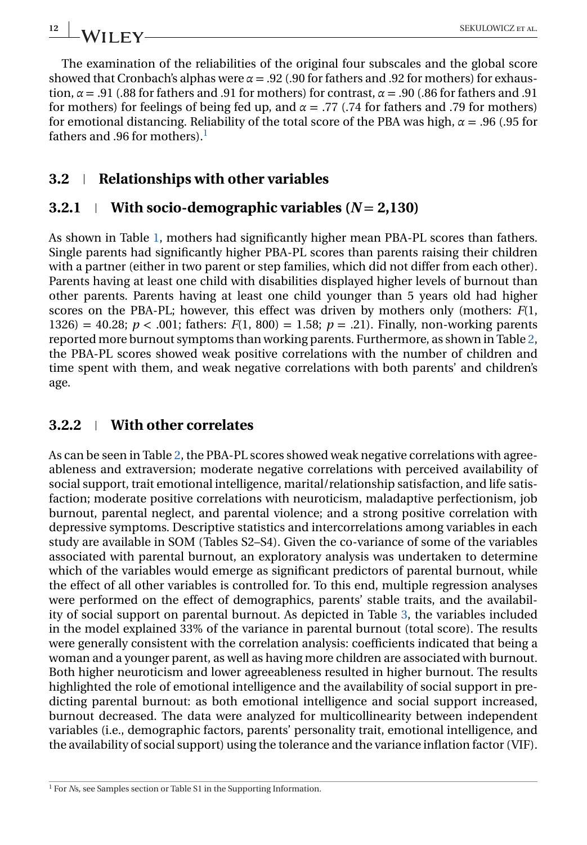The examination of the reliabilities of the original four subscales and the global score showed that Cronbach's alphas were  $\alpha = .92$  (.90 for fathers and .92 for mothers) for exhaustion,  $\alpha$  = .91 (.88 for fathers and .91 for mothers) for contrast,  $\alpha$  = .90 (.86 for fathers and .91 for mothers) for feelings of being fed up, and  $\alpha = .77$  (.74 for fathers and .79 for mothers) for emotional distancing. Reliability of the total score of the PBA was high, *α* = .96 (.95 for fathers and .96 for mothers). $<sup>1</sup>$ </sup>

## **3.2 Relationships with other variables**

## **3.2.1 With socio-demographic variables (** $N = 2,130$ **)**

As shown in Table [1,](#page-12-0) mothers had significantly higher mean PBA-PL scores than fathers. Single parents had significantly higher PBA-PL scores than parents raising their children with a partner (either in two parent or step families, which did not differ from each other). Parents having at least one child with disabilities displayed higher levels of burnout than other parents. Parents having at least one child younger than 5 years old had higher scores on the PBA-PL; however, this effect was driven by mothers only (mothers: *F*(1, 1326) = 40.28;  $p < .001$ ; fathers:  $F(1, 800) = 1.58$ ;  $p = .21$ ). Finally, non-working parents reported more burnout symptoms than working parents. Furthermore, as shown in Table [2,](#page-13-0) the PBA-PL scores showed weak positive correlations with the number of children and time spent with them, and weak negative correlations with both parents' and children's age.

## **3.2.2 With other correlates**

As can be seen in Table [2,](#page-13-0) the PBA-PL scores showed weak negative correlations with agreeableness and extraversion; moderate negative correlations with perceived availability of social support, trait emotional intelligence, marital/relationship satisfaction, and life satisfaction; moderate positive correlations with neuroticism, maladaptive perfectionism, job burnout, parental neglect, and parental violence; and a strong positive correlation with depressive symptoms. Descriptive statistics and intercorrelations among variables in each study are available in SOM (Tables S2–S4). Given the co-variance of some of the variables associated with parental burnout, an exploratory analysis was undertaken to determine which of the variables would emerge as significant predictors of parental burnout, while the effect of all other variables is controlled for. To this end, multiple regression analyses were performed on the effect of demographics, parents' stable traits, and the availability of social support on parental burnout. As depicted in Table [3,](#page-14-0) the variables included in the model explained 33% of the variance in parental burnout (total score). The results were generally consistent with the correlation analysis: coefficients indicated that being a woman and a younger parent, as well as having more children are associated with burnout. Both higher neuroticism and lower agreeableness resulted in higher burnout. The results highlighted the role of emotional intelligence and the availability of social support in predicting parental burnout: as both emotional intelligence and social support increased, burnout decreased. The data were analyzed for multicollinearity between independent variables (i.e., demographic factors, parents' personality trait, emotional intelligence, and the availability of social support) using the tolerance and the variance inflation factor (VIF).

<sup>&</sup>lt;sup>1</sup> For *N*s, see Samples section or Table S1 in the Supporting Information.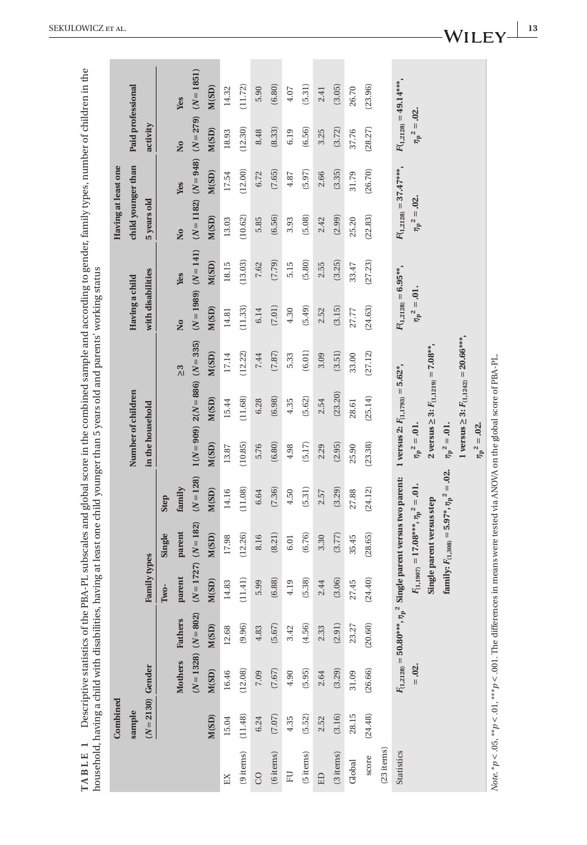<span id="page-12-0"></span>

|            | Combined           |                                                       |              |                                                        |             |                           |                                               |               |                           |            | Having at least one        |                          |                           |                           |
|------------|--------------------|-------------------------------------------------------|--------------|--------------------------------------------------------|-------------|---------------------------|-----------------------------------------------|---------------|---------------------------|------------|----------------------------|--------------------------|---------------------------|---------------------------|
|            | sample             |                                                       |              |                                                        |             | Number of children        |                                               |               | Having a child            |            | child younger than         |                          | Paid professional         |                           |
|            | $(N=2130)$ Gender  |                                                       | Family types |                                                        |             | in the household          |                                               |               | with disabilities         |            | 5 years old                |                          | activity                  |                           |
|            |                    |                                                       | Two-         | Single                                                 | Step        |                           |                                               |               |                           |            |                            |                          |                           |                           |
|            | <b>Mothers</b>     | Fathers                                               | parent       | parent                                                 | family      |                           |                                               | $\frac{3}{2}$ | $\overline{\mathsf{a}}$   | <b>Yes</b> | Σó                         | <b>Yes</b>               | Σó                        | <b>Yes</b>                |
|            |                    | $(N = 1328)$ $(N = 802)$                              | $(N = 1727)$ | $(N = 182)$                                            | $(N = 128)$ |                           | $1(N = 909)$ $2(N = 886)$ $(N = 335)$         |               | $(N=1989)$ $(N=141)$      |            |                            | $(N = 1182)$ $(N = 948)$ | $(N = 279)$               | $(N = 1851)$              |
|            | M(SD)<br>M(SD)     | M(SD)                                                 | M(SD)        | M(SD)                                                  | M(SD)       | M(SD)                     | M(SD)                                         | M(SD)         | M(SD)                     | M(SD)      | M(SD)                      | M(SD)                    | M(SD)                     | M(SD)                     |
| EX         | 16.46<br>15.04     | 12.68                                                 | 14.83        | 17.98                                                  | 14.16       | 13.87                     | 15.44                                         | 17.14         | 14.81                     | 18.15      | 13.03                      | 17.54                    | 18.93                     | 14.32                     |
| (9 items)  | (12.08)<br>(11.48) | (9.96)                                                | (11.41)      | (12.26)                                                | (11.08)     | (10.85)                   | (11.68)                                       | (12.22)       | (11.33)                   | (13.03)    | (10.62)                    | (12.00)                  | (12.30)                   | (11.72)                   |
| 8          | 7.09<br>6.24       | 4.83                                                  | 5.99         | 8.16                                                   | 6.64        | 5.76                      | 6.28                                          | 7.44          | 6.14                      | 7.62       | 5.85                       | 6.72                     | 8.48                      | 5.90                      |
| (6 items)  | (7.67)<br>(7.07)   | (5.67)                                                | (6.88)       | (8.21)                                                 | (7.36)      | (6.80)                    | (6.98)                                        | (7.87)        | (7.01)                    | (7.79)     | (6.56)                     | (7.65)                   | (8.33)                    | (6.80)                    |
| EU         | 4.90<br>4.35       | 3.42                                                  | 4.19         | 6.01                                                   | 4.50        | 4.98                      | 4.35                                          | 5.33          | 4.30                      | 5.15       | 3.93                       | 4.87                     | 6.19                      | 4.07                      |
| (5 items)  | (5.95)<br>(5.52)   | (4.56)                                                | (5.38)       | (6.76)                                                 | (5.31)      | (5.17)                    | (5.62)                                        | (6.01)        | (5.49)                    | (5.80)     | (5.08)                     | (5.97)                   | (6.56)                    | (5.31)                    |
| ED         | 2.64<br>2.52       | 2.33                                                  | 2.44         | 3.30                                                   | 2.57        | 2.29                      | 2.54                                          | 3.09          | 2.52                      | 2.55       | 2.42                       | 2.66                     | 3.25                      | 2.41                      |
| (3 items)  | (3.29)<br>(3.16)   | (2.91)                                                | (3.06)       | (3.77)                                                 | (3.29)      | (2.95)                    | (23.20)                                       | (3.51)        | (3.15)                    | (3.25)     | (2.99)                     | (3.35)                   | (3.72)                    | (3.05)                    |
| Global     | 31.09<br>28.15     | 23.27                                                 | 27.45        | 35.45                                                  | 27.88       | 25.90                     | 28.61                                         | 33.00         | 27.77                     | 33.47      | 25.20                      | 31.79                    | 37.76                     | 26.70                     |
| score      | (26.66)<br>(24.48) | (20.60)                                               | (24.40)      | (28.65)                                                | (24.12)     | (23.38)                   | (25.14)                                       | (27.12)       | (24.63)                   | (27.23)    | (22.83)                    | (26.70)                  | (28.27)                   | (23.96)                   |
| (23 items) |                    |                                                       |              |                                                        |             |                           |                                               |               |                           |            |                            |                          |                           |                           |
| Statistics |                    | $F_{(1,2128)}=50.80^{***},\,{\eta}_{\rm p}^{\rm \ 2}$ |              | Single parent versus two parent:                       |             |                           | 1 versus 2: $F_{(1,1793)} = 5.62$ *,          |               | $F_{(1,2128)} = 6.95***$  |            | $F_{(1,2128)} = 37.47***$  |                          |                           | $F_{(1,2128)} = 49.14***$ |
|            | $= .02$            |                                                       |              | $F_{(1,1907)} = 17.08***$ , $n_{\rm p}^2 = .01$ .      |             | $\eta_{\rm p}{}^2 = .01.$ |                                               |               | $\eta_{\rm p}{}^2 = .01.$ |            | $\eta_{\rm p}{}^2 = .02$ . |                          | $\eta_{\rm p}{}^2 = .02.$ |                           |
|            |                    |                                                       |              | Single parent versus step                              |             |                           | 2 versus $\geq 3$ : $F_{(1,1219)} = 7.08**$ , |               |                           |            |                            |                          |                           |                           |
|            |                    |                                                       |              | family: $F_{(1,308)} = 5.97^*$ , $n_{\rm p}^2 = .02$ . |             | $\eta_{\rm p}{}^2 = .01.$ |                                               |               |                           |            |                            |                          |                           |                           |
|            |                    |                                                       |              |                                                        |             |                           | 1 versus $\geq 3$ : $F_{(1,1242)} = 20.66***$ |               |                           |            |                            |                          |                           |                           |
|            |                    |                                                       |              |                                                        |             | $\eta_{\rm p}{}^2 = .02.$ |                                               |               |                           |            |                            |                          |                           |                           |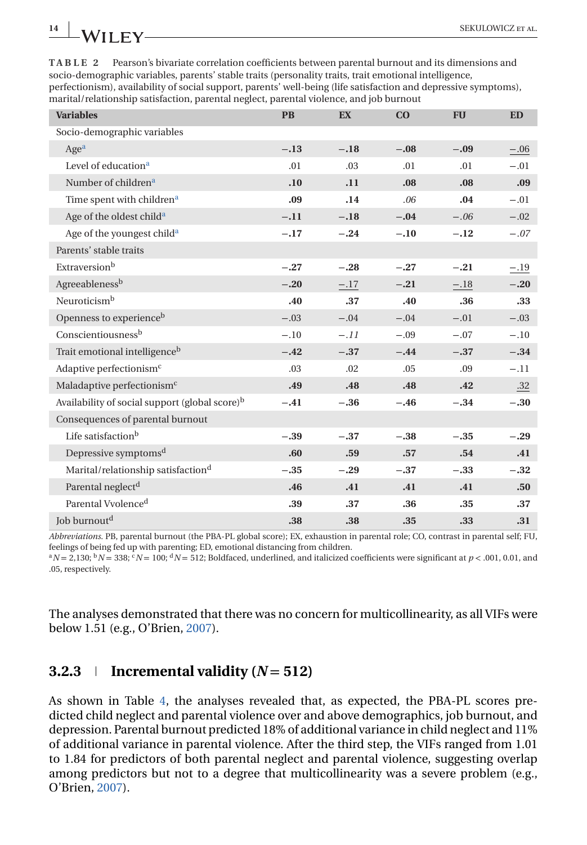<span id="page-13-0"></span>**TABLE 2** Pearson's bivariate correlation coefficients between parental burnout and its dimensions and socio-demographic variables, parents' stable traits (personality traits, trait emotional intelligence, perfectionism), availability of social support, parents' well-being (life satisfaction and depressive symptoms), marital/relationship satisfaction, parental neglect, parental violence, and job burnout

| <b>Variables</b>                                           | <b>PB</b> | EX     | CO     | <b>FU</b>        | <b>ED</b> |
|------------------------------------------------------------|-----------|--------|--------|------------------|-----------|
| Socio-demographic variables                                |           |        |        |                  |           |
| Age <sup>a</sup>                                           | $-.13$    | $-.18$ | $-.08$ | $-.09$           | $-.06$    |
| Level of education <sup>a</sup>                            | .01       | .03    | .01    | .01              | $-.01$    |
| Number of children <sup>a</sup>                            | .10       | .11    | .08    | .08 <sub>0</sub> | .09       |
| Time spent with children <sup>a</sup>                      | .09       | .14    | .06    | .04              | $-.01$    |
| Age of the oldest child <sup>a</sup>                       | $-.11$    | $-.18$ | $-.04$ | $-.06$           | $-.02$    |
| Age of the youngest child <sup>a</sup>                     | $-.17$    | $-.24$ | $-.10$ | $-.12$           | $-.07$    |
| Parents' stable traits                                     |           |        |        |                  |           |
| Extraversion <sup>b</sup>                                  | $-.27$    | $-.28$ | $-.27$ | $-.21$           | $-.19$    |
| Agreeableness <sup>b</sup>                                 | $-.20$    | $-.17$ | $-.21$ | $-.18$           | $-.20$    |
| Neuroticism <sup>b</sup>                                   | .40       | .37    | .40    | .36              | .33       |
| Openness to experience <sup>b</sup>                        | $-.03$    | $-.04$ | $-.04$ | $-.01$           | $-.03$    |
| Conscientiousnessb                                         | $-.10$    | $-.11$ | $-.09$ | $-.07$           | $-.10$    |
| Trait emotional intelligence <sup>b</sup>                  | $-.42$    | $-.37$ | $-.44$ | $-.37$           | $-.34$    |
| Adaptive perfectionism <sup>c</sup>                        | .03       | .02    | .05    | .09              | $-.11$    |
| Maladaptive perfectionism <sup>c</sup>                     | .49       | .48    | .48    | .42              | .32       |
| Availability of social support (global score) <sup>b</sup> | $-.41$    | $-.36$ | $-.46$ | $-.34$           | $-.30$    |
| Consequences of parental burnout                           |           |        |        |                  |           |
| Life satisfaction <sup>b</sup>                             | $-.39$    | $-.37$ | $-.38$ | $-.35$           | $-.29$    |
| Depressive symptoms <sup>d</sup>                           | .60       | .59    | .57    | .54              | .41       |
| Marital/relationship satisfaction <sup>d</sup>             | $-.35$    | $-.29$ | $-.37$ | $-.33$           | $-.32$    |
| Parental neglect <sup>d</sup>                              | .46       | .41    | .41    | .41              | .50       |
| Parental Vvolence <sup>d</sup>                             | .39       | .37    | .36    | .35              | .37       |
| Job burnout <sup>d</sup>                                   | .38       | .38    | .35    | .33              | .31       |

*Abbreviations*. PB, parental burnout (the PBA-PL global score); EX, exhaustion in parental role; CO, contrast in parental self; FU, feelings of being fed up with parenting; ED, emotional distancing from children.

 ${}^{a}N$  = 2,130;  ${}^{b}N$  = 338;  ${}^{c}N$  = 100;  ${}^{d}N$  = 512; Boldfaced, underlined, and italicized coefficients were significant at *p* < .001, 0.01, and .05, respectively.

The analyses demonstrated that there was no concern for multicollinearity, as all VIFs were below 1.51 (e.g., O'Brien, [2007\)](#page-20-0).

## **3.2.3 I** Incremental validity  $(N = 512)$

As shown in Table [4,](#page-14-0) the analyses revealed that, as expected, the PBA-PL scores predicted child neglect and parental violence over and above demographics, job burnout, and depression. Parental burnout predicted 18% of additional variance in child neglect and 11% of additional variance in parental violence. After the third step, the VIFs ranged from 1.01 to 1.84 for predictors of both parental neglect and parental violence, suggesting overlap among predictors but not to a degree that multicollinearity was a severe problem (e.g., O'Brien, [2007\)](#page-20-0).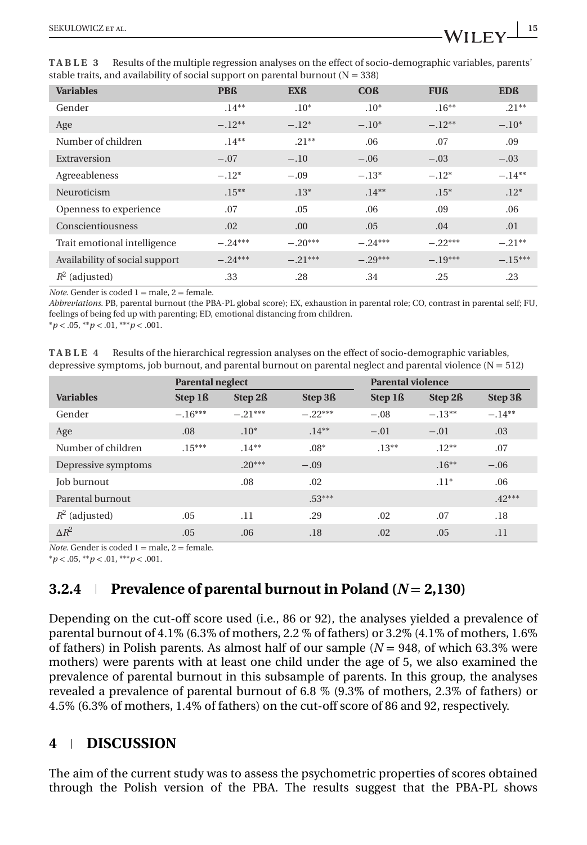| <b>Variables</b>               | <b>PBß</b> | <b>EXß</b> | <b>COß</b> | <b>FUß</b> | <b>EDß</b> |
|--------------------------------|------------|------------|------------|------------|------------|
| Gender                         | $.14**$    | $.10*$     | $.10*$     | $.16**$    | $.21**$    |
| Age                            | $-.12**$   | $-.12*$    | $-.10*$    | $-.12**$   | $-.10*$    |
| Number of children             | $.14**$    | $.21**$    | .06        | .07        | .09        |
| Extraversion                   | $-.07$     | $-.10$     | $-.06$     | $-.03$     | $-.03$     |
| Agreeableness                  | $-.12*$    | $-.09$     | $-.13*$    | $-.12*$    | $-.14**$   |
| Neuroticism                    | $.15***$   | $.13*$     | $.14**$    | $.15*$     | $.12*$     |
| Openness to experience         | .07        | .05        | .06        | .09        | .06        |
| Conscientiousness              | .02        | .00        | .05        | .04        | .01        |
| Trait emotional intelligence   | $-.24***$  | $-.20***$  | $-.24***$  | $-.22***$  | $-.21**$   |
| Availability of social support | $-.24***$  | $-.21***$  | $-.29***$  | $-.19***$  | $-.15***$  |
| $R^2$ (adjusted)               | .33        | .28        | .34        | .25        | .23        |

<span id="page-14-0"></span>**TABLE 3** Results of the multiple regression analyses on the effect of socio-demographic variables, parents' stable traits, and availability of social support on parental burnout ( $N = 338$ )

*Note*. Gender is coded 1 = male, 2 = female.

*Abbreviations*. PB, parental burnout (the PBA-PL global score); EX, exhaustion in parental role; CO, contrast in parental self; FU, feelings of being fed up with parenting; ED, emotional distancing from children.

\**p* < .05, \*\**p* < .01, \*\*\**p* < .001.

**TABLE 4** Results of the hierarchical regression analyses on the effect of socio-demographic variables, depressive symptoms, job burnout, and parental burnout on parental neglect and parental violence  $(N = 512)$ 

|                     |                     | <b>Parental neglect</b> |                     |                     | <b>Parental violence</b> |                     |  |  |
|---------------------|---------------------|-------------------------|---------------------|---------------------|--------------------------|---------------------|--|--|
| <b>Variables</b>    | Step 1 <sub>B</sub> | Step 2 <sup>ß</sup>     | Step 3 <sub>R</sub> | Step 1 <sub>ß</sub> | Step 2 <sup>ß</sup>      | Step 3 <sub>B</sub> |  |  |
| Gender              | $-.16***$           | $-.21***$               | $-22***$            | $-.08$              | $-.13**$                 | $-.14**$            |  |  |
| Age                 | .08                 | $.10*$                  | $.14***$            | $-.01$              | $-.01$                   | .03                 |  |  |
| Number of children  | $.15***$            | $.14**$                 | $.08*$              | $.13**$             | $.12***$                 | .07                 |  |  |
| Depressive symptoms |                     | $.20***$                | $-.09$              |                     | $.16***$                 | $-.06$              |  |  |
| Job burnout         |                     | .08                     | .02                 |                     | $.11*$                   | .06                 |  |  |
| Parental burnout    |                     |                         | $.53***$            |                     |                          | $.42***$            |  |  |
| $R^2$ (adjusted)    | .05                 | .11                     | .29                 | .02                 | .07                      | .18                 |  |  |
| $\Delta R^2$        | .05                 | .06                     | .18                 | .02                 | .05                      | .11                 |  |  |

*Note*. Gender is coded  $1 =$  male,  $2 =$  female.

\**p* < .05, \*\**p* < .01, \*\*\**p* < .001.

## **3.2.4 Prevalence of parental burnout in Poland (** $N = 2,130$ **)**

Depending on the cut-off score used (i.e., 86 or 92), the analyses yielded a prevalence of parental burnout of 4.1% (6.3% of mothers, 2.2 % of fathers) or 3.2% (4.1% of mothers, 1.6% of fathers) in Polish parents. As almost half of our sample (*N* = 948, of which 63.3% were mothers) were parents with at least one child under the age of 5, we also examined the prevalence of parental burnout in this subsample of parents. In this group, the analyses revealed a prevalence of parental burnout of 6.8 % (9.3% of mothers, 2.3% of fathers) or 4.5% (6.3% of mothers, 1.4% of fathers) on the cut-off score of 86 and 92, respectively.

## **4 DISCUSSION**

The aim of the current study was to assess the psychometric properties of scores obtained through the Polish version of the PBA. The results suggest that the PBA-PL shows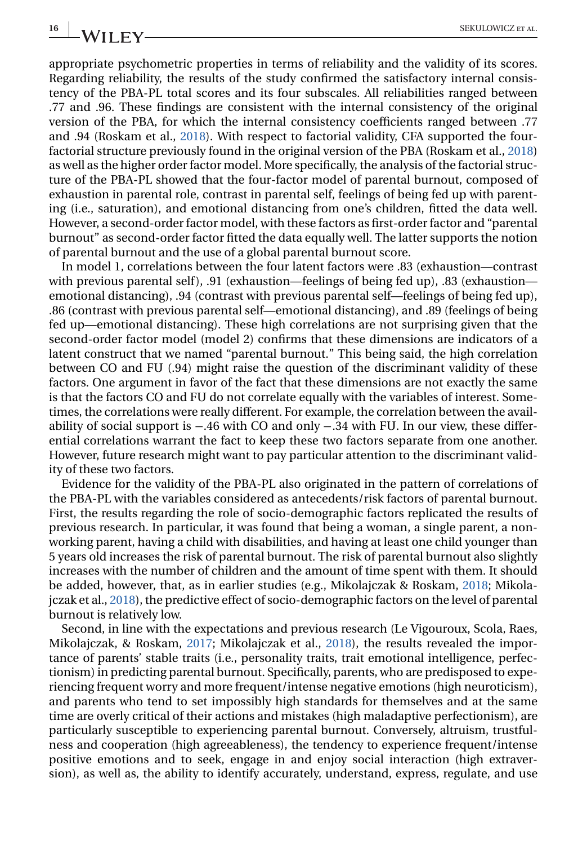appropriate psychometric properties in terms of reliability and the validity of its scores. Regarding reliability, the results of the study confirmed the satisfactory internal consistency of the PBA-PL total scores and its four subscales. All reliabilities ranged between .77 and .96. These findings are consistent with the internal consistency of the original version of the PBA, for which the internal consistency coefficients ranged between .77 and .94 (Roskam et al., [2018\)](#page-21-0). With respect to factorial validity, CFA supported the fourfactorial structure previously found in the original version of the PBA (Roskam et al., [2018\)](#page-21-0) as well as the higher order factor model. More specifically, the analysis of the factorial structure of the PBA-PL showed that the four-factor model of parental burnout, composed of exhaustion in parental role, contrast in parental self, feelings of being fed up with parenting (i.e., saturation), and emotional distancing from one's children, fitted the data well. However, a second-order factor model, with these factors as first-order factor and "parental burnout" as second-order factor fitted the data equally well. The latter supports the notion of parental burnout and the use of a global parental burnout score.

In model 1, correlations between the four latent factors were .83 (exhaustion—contrast with previous parental self), .91 (exhaustion—feelings of being fed up), .83 (exhaustion emotional distancing), .94 (contrast with previous parental self—feelings of being fed up), .86 (contrast with previous parental self—emotional distancing), and .89 (feelings of being fed up—emotional distancing). These high correlations are not surprising given that the second-order factor model (model 2) confirms that these dimensions are indicators of a latent construct that we named "parental burnout." This being said, the high correlation between CO and FU (.94) might raise the question of the discriminant validity of these factors. One argument in favor of the fact that these dimensions are not exactly the same is that the factors CO and FU do not correlate equally with the variables of interest. Sometimes, the correlations were really different. For example, the correlation between the availability of social support is −.46 with CO and only −.34 with FU. In our view, these differential correlations warrant the fact to keep these two factors separate from one another. However, future research might want to pay particular attention to the discriminant validity of these two factors.

Evidence for the validity of the PBA-PL also originated in the pattern of correlations of the PBA-PL with the variables considered as antecedents/risk factors of parental burnout. First, the results regarding the role of socio-demographic factors replicated the results of previous research. In particular, it was found that being a woman, a single parent, a nonworking parent, having a child with disabilities, and having at least one child younger than 5 years old increases the risk of parental burnout. The risk of parental burnout also slightly increases with the number of children and the amount of time spent with them. It should be added, however, that, as in earlier studies (e.g., Mikolajczak & Roskam, [2018;](#page-20-0) Mikolajczak et al., [2018\)](#page-20-0), the predictive effect of socio-demographic factors on the level of parental burnout is relatively low.

Second, in line with the expectations and previous research (Le Vigouroux, Scola, Raes, Mikolajczak, & Roskam, [2017;](#page-19-0) Mikolajczak et al., [2018\)](#page-20-0), the results revealed the importance of parents' stable traits (i.e., personality traits, trait emotional intelligence, perfectionism) in predicting parental burnout. Specifically, parents, who are predisposed to experiencing frequent worry and more frequent/intense negative emotions (high neuroticism), and parents who tend to set impossibly high standards for themselves and at the same time are overly critical of their actions and mistakes (high maladaptive perfectionism), are particularly susceptible to experiencing parental burnout. Conversely, altruism, trustfulness and cooperation (high agreeableness), the tendency to experience frequent/intense positive emotions and to seek, engage in and enjoy social interaction (high extraversion), as well as, the ability to identify accurately, understand, express, regulate, and use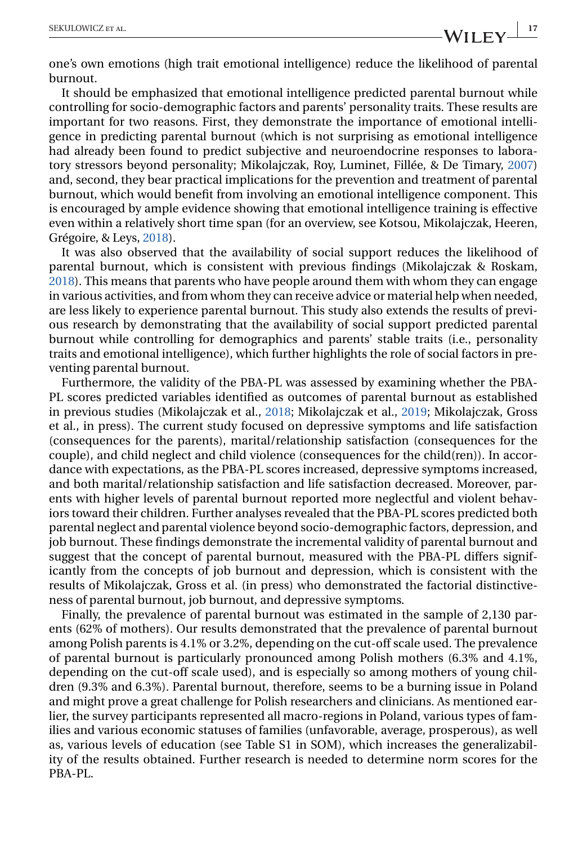one's own emotions (high trait emotional intelligence) reduce the likelihood of parental burnout.

It should be emphasized that emotional intelligence predicted parental burnout while controlling for socio-demographic factors and parents' personality traits. These results are important for two reasons. First, they demonstrate the importance of emotional intelligence in predicting parental burnout (which is not surprising as emotional intelligence had already been found to predict subjective and neuroendocrine responses to laboratory stressors beyond personality; Mikolajczak, Roy, Luminet, Fillée, & De Timary, [2007\)](#page-20-0) and, second, they bear practical implications for the prevention and treatment of parental burnout, which would benefit from involving an emotional intelligence component. This is encouraged by ample evidence showing that emotional intelligence training is effective even within a relatively short time span (for an overview, see Kotsou, Mikolajczak, Heeren, Grégoire, & Leys, [2018\)](#page-19-0).

It was also observed that the availability of social support reduces the likelihood of parental burnout, which is consistent with previous findings (Mikolajczak & Roskam, [2018\)](#page-20-0). This means that parents who have people around them with whom they can engage in various activities, and from whom they can receive advice or material help when needed, are less likely to experience parental burnout. This study also extends the results of previous research by demonstrating that the availability of social support predicted parental burnout while controlling for demographics and parents' stable traits (i.e., personality traits and emotional intelligence), which further highlights the role of social factors in preventing parental burnout.

Furthermore, the validity of the PBA-PL was assessed by examining whether the PBA-PL scores predicted variables identified as outcomes of parental burnout as established in previous studies (Mikolajczak et al., [2018;](#page-20-0) Mikolajczak et al., [2019;](#page-20-0) Mikolajczak, Gross et al., in press). The current study focused on depressive symptoms and life satisfaction (consequences for the parents), marital/relationship satisfaction (consequences for the couple), and child neglect and child violence (consequences for the child(ren)). In accordance with expectations, as the PBA-PL scores increased, depressive symptoms increased, and both marital/relationship satisfaction and life satisfaction decreased. Moreover, parents with higher levels of parental burnout reported more neglectful and violent behaviors toward their children. Further analyses revealed that the PBA-PL scores predicted both parental neglect and parental violence beyond socio-demographic factors, depression, and job burnout. These findings demonstrate the incremental validity of parental burnout and suggest that the concept of parental burnout, measured with the PBA-PL differs significantly from the concepts of job burnout and depression, which is consistent with the results of Mikolajczak, Gross et al. (in press) who demonstrated the factorial distinctiveness of parental burnout, job burnout, and depressive symptoms.

Finally, the prevalence of parental burnout was estimated in the sample of 2,130 parents (62% of mothers). Our results demonstrated that the prevalence of parental burnout among Polish parents is 4.1% or 3.2%, depending on the cut-off scale used. The prevalence of parental burnout is particularly pronounced among Polish mothers (6.3% and 4.1%, depending on the cut-off scale used), and is especially so among mothers of young children (9.3% and 6.3%). Parental burnout, therefore, seems to be a burning issue in Poland and might prove a great challenge for Polish researchers and clinicians. As mentioned earlier, the survey participants represented all macro-regions in Poland, various types of families and various economic statuses of families (unfavorable, average, prosperous), as well as, various levels of education (see Table S1 in SOM), which increases the generalizability of the results obtained. Further research is needed to determine norm scores for the PBA-PL.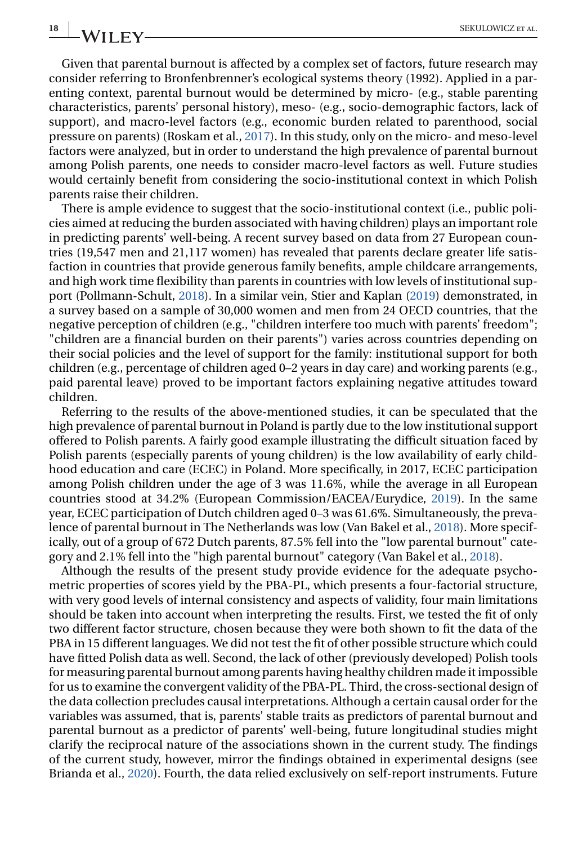Given that parental burnout is affected by a complex set of factors, future research may consider referring to Bronfenbrenner's ecological systems theory (1992). Applied in a parenting context, parental burnout would be determined by micro- (e.g., stable parenting characteristics, parents' personal history), meso- (e.g., socio-demographic factors, lack of support), and macro-level factors (e.g., economic burden related to parenthood, social pressure on parents) (Roskam et al., [2017\)](#page-21-0). In this study, only on the micro- and meso-level factors were analyzed, but in order to understand the high prevalence of parental burnout among Polish parents, one needs to consider macro-level factors as well. Future studies would certainly benefit from considering the socio-institutional context in which Polish parents raise their children.

There is ample evidence to suggest that the socio-institutional context (i.e., public policies aimed at reducing the burden associated with having children) plays an important role in predicting parents' well-being. A recent survey based on data from 27 European countries (19,547 men and 21,117 women) has revealed that parents declare greater life satisfaction in countries that provide generous family benefits, ample childcare arrangements, and high work time flexibility than parents in countries with low levels of institutional support (Pollmann-Schult, [2018\)](#page-21-0). In a similar vein, Stier and Kaplan [\(2019\)](#page-21-0) demonstrated, in a survey based on a sample of 30,000 women and men from 24 OECD countries, that the negative perception of children (e.g., "children interfere too much with parents' freedom"; "children are a financial burden on their parents") varies across countries depending on their social policies and the level of support for the family: institutional support for both children (e.g., percentage of children aged 0–2 years in day care) and working parents (e.g., paid parental leave) proved to be important factors explaining negative attitudes toward children.

Referring to the results of the above-mentioned studies, it can be speculated that the high prevalence of parental burnout in Poland is partly due to the low institutional support offered to Polish parents. A fairly good example illustrating the difficult situation faced by Polish parents (especially parents of young children) is the low availability of early childhood education and care (ECEC) in Poland. More specifically, in 2017, ECEC participation among Polish children under the age of 3 was 11.6%, while the average in all European countries stood at 34.2% (European Commission/EACEA/Eurydice, [2019\)](#page-19-0). In the same year, ECEC participation of Dutch children aged 0–3 was 61.6%. Simultaneously, the prevalence of parental burnout in The Netherlands was low (Van Bakel et al., [2018\)](#page-21-0). More specifically, out of a group of 672 Dutch parents, 87.5% fell into the "low parental burnout" category and 2.1% fell into the "high parental burnout" category (Van Bakel et al., [2018\)](#page-21-0).

Although the results of the present study provide evidence for the adequate psychometric properties of scores yield by the PBA-PL, which presents a four-factorial structure, with very good levels of internal consistency and aspects of validity, four main limitations should be taken into account when interpreting the results. First, we tested the fit of only two different factor structure, chosen because they were both shown to fit the data of the PBA in 15 different languages. We did not test the fit of other possible structure which could have fitted Polish data as well. Second, the lack of other (previously developed) Polish tools for measuring parental burnout among parents having healthy children made it impossible for us to examine the convergent validity of the PBA-PL. Third, the cross-sectional design of the data collection precludes causal interpretations. Although a certain causal order for the variables was assumed, that is, parents' stable traits as predictors of parental burnout and parental burnout as a predictor of parents' well-being, future longitudinal studies might clarify the reciprocal nature of the associations shown in the current study. The findings of the current study, however, mirror the findings obtained in experimental designs (see Brianda et al., [2020\)](#page-18-0). Fourth, the data relied exclusively on self-report instruments. Future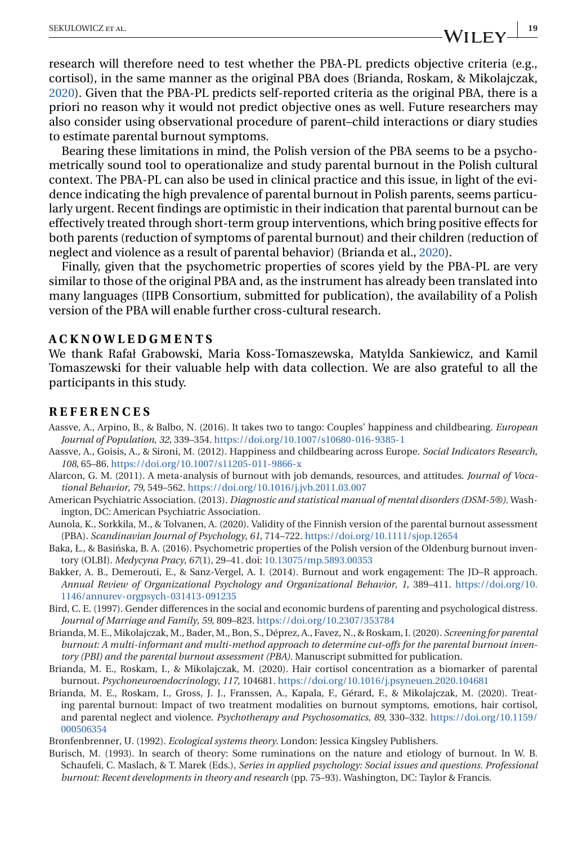<span id="page-18-0"></span>research will therefore need to test whether the PBA-PL predicts objective criteria (e.g., cortisol), in the same manner as the original PBA does (Brianda, Roskam, & Mikolajczak, 2020). Given that the PBA-PL predicts self-reported criteria as the original PBA, there is a priori no reason why it would not predict objective ones as well. Future researchers may also consider using observational procedure of parent–child interactions or diary studies to estimate parental burnout symptoms.

Bearing these limitations in mind, the Polish version of the PBA seems to be a psychometrically sound tool to operationalize and study parental burnout in the Polish cultural context. The PBA-PL can also be used in clinical practice and this issue, in light of the evidence indicating the high prevalence of parental burnout in Polish parents, seems particularly urgent. Recent findings are optimistic in their indication that parental burnout can be effectively treated through short-term group interventions, which bring positive effects for both parents (reduction of symptoms of parental burnout) and their children (reduction of neglect and violence as a result of parental behavior) (Brianda et al., 2020).

Finally, given that the psychometric properties of scores yield by the PBA-PL are very similar to those of the original PBA and, as the instrument has already been translated into many languages (IIPB Consortium, submitted for publication), the availability of a Polish version of the PBA will enable further cross-cultural research.

#### **ACKNOWLEDGMENTS**

We thank Rafał Grabowski, Maria Koss-Tomaszewska, Matylda Sankiewicz, and Kamil Tomaszewski for their valuable help with data collection. We are also grateful to all the participants in this study.

#### **REFERENCES**

- Aassve, A., Arpino, B., & Balbo, N. (2016). It takes two to tango: Couples' happiness and childbearing. *European Journal of Population*, *32*, 339–354. <https://doi.org/10.1007/s10680-016-9385-1>
- Aassve, A., Goisis, A., & Sironi, M. (2012). Happiness and childbearing across Europe. *Social Indicators Research*, *108*, 65–86. <https://doi.org/10.1007/s11205-011-9866-x>
- Alarcon, G. M. (2011). A meta-analysis of burnout with job demands, resources, and attitudes. *Journal of Vocational Behavior*, *79*, 549–562. <https://doi.org/10.1016/j.jvb.2011.03.007>
- American Psychiatric Association. (2013). *Diagnostic and statistical manual of mental disorders (DSM-5®)*. Washington, DC: American Psychiatric Association.
- Aunola, K., Sorkkila, M., & Tolvanen, A. (2020). Validity of the Finnish version of the parental burnout assessment (PBA). *Scandinavian Journal of Psychology*, *61*, 714–722. <https://doi.org/10.1111/sjop.12654>

Baka, Ł., & Basińska, B. A. (2016). Psychometric properties of the Polish version of the Oldenburg burnout inventory (OLBI). *Medycyna Pracy*, *67*(1), 29–41. doi: [10.13075/mp.5893.00353](https://doi.org/10.13075/mp.5893.00353)

- Bakker, A. B., Demerouti, E., & Sanz-Vergel, A. I. (2014). Burnout and work engagement: The JD–R approach. *Annual Review of Organizational Psychology and Organizational Behavior*, *1*, 389–411. [https://doi.org/10.](https://doi.org/10.1146/annurev-orgpsych-031413-091235) [1146/annurev-orgpsych-031413-091235](https://doi.org/10.1146/annurev-orgpsych-031413-091235)
- Bird, C. E. (1997). Gender differences in the social and economic burdens of parenting and psychological distress. *Journal of Marriage and Family*, *59*, 809–823. <https://doi.org/10.2307/353784>
- Brianda, M. E., Mikolajczak, M., Bader, M., Bon, S., Déprez, A., Favez, N., & Roskam, I. (2020). *Screening for parental burnout: A multi-informant and multi-method approach to determine cut-offs for the parental burnout inventory (PBI) and the parental burnout assessment (PBA)*. Manuscript submitted for publication.
- Brianda, M. E., Roskam, I., & Mikolajczak, M. (2020). Hair cortisol concentration as a biomarker of parental burnout. *Psychoneuroendocrinology*, *117*, 104681. <https://doi.org/10.1016/j.psyneuen.2020.104681>
- Brianda, M. E., Roskam, I., Gross, J. J., Franssen, A., Kapala, F., Gérard, F., & Mikolajczak, M. (2020). Treating parental burnout: Impact of two treatment modalities on burnout symptoms, emotions, hair cortisol, and parental neglect and violence. *Psychotherapy and Psychosomatics*, *89*, 330–332. [https://doi.org/10.1159/](https://doi.org/10.1159/000506354) [000506354](https://doi.org/10.1159/000506354)
- Bronfenbrenner, U. (1992). *Ecological systems theory*. London: Jessica Kingsley Publishers.
- Burisch, M. (1993). In search of theory: Some ruminations on the nature and etiology of burnout. In W. B. Schaufeli, C. Maslach, & T. Marek (Eds.), *Series in applied psychology: Social issues and questions. Professional burnout: Recent developments in theory and research* (pp. 75–93). Washington, DC: Taylor & Francis.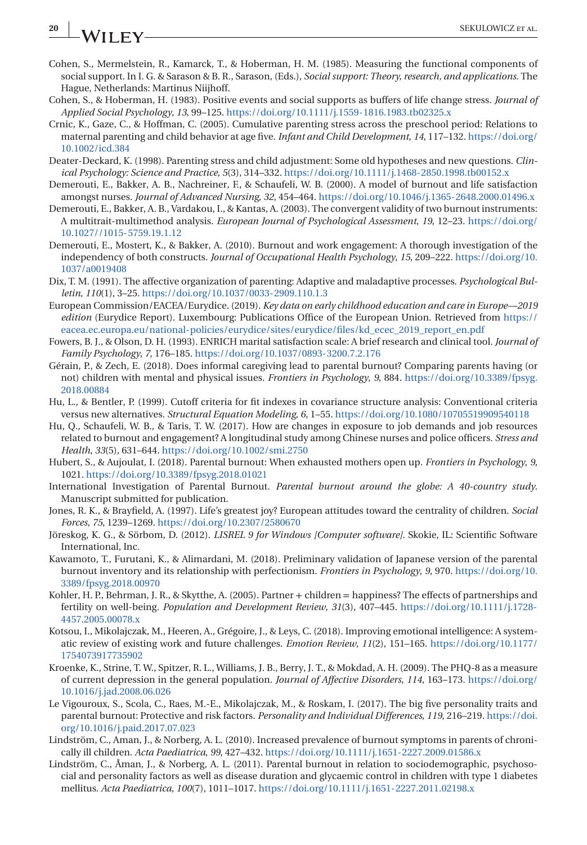# <span id="page-19-0"></span>**20 WII FV** SEKULOWICZ ET AL.

- Cohen, S., Mermelstein, R., Kamarck, T., & Hoberman, H. M. (1985). Measuring the functional components of social support. In I. G. & Sarason & B. R., Sarason, (Eds.), *Social support: Theory, research, and applications*. The Hague, Netherlands: Martinus Niijhoff.
- Cohen, S., & Hoberman, H. (1983). Positive events and social supports as buffers of life change stress. *Journal of Applied Social Psychology*, *13*, 99–125. <https://doi.org/10.1111/j.1559-1816.1983.tb02325.x>
- Crnic, K., Gaze, C., & Hoffman, C. (2005). Cumulative parenting stress across the preschool period: Relations to maternal parenting and child behavior at age five. *Infant and Child Development*, *14*, 117–132. [https://doi.org/](https://doi.org/10.1002/icd.384) [10.1002/icd.384](https://doi.org/10.1002/icd.384)
- Deater-Deckard, K. (1998). Parenting stress and child adjustment: Some old hypotheses and new questions. *Clinical Psychology: Science and Practice*, *5*(3), 314–332. <https://doi.org/10.1111/j.1468-2850.1998.tb00152.x>
- Demerouti, E., Bakker, A. B., Nachreiner, F., & Schaufeli, W. B. (2000). A model of burnout and life satisfaction amongst nurses. *Journal of Advanced Nursing*, *32*, 454–464. <https://doi.org/10.1046/j.1365-2648.2000.01496.x>
- Demerouti, E., Bakker, A. B., Vardakou, I., & Kantas, A. (2003). The convergent validity of two burnout instruments: A multitrait-multimethod analysis. *European Journal of Psychological Assessment*, *19*, 12–23. [https://doi.org/](https://doi.org/10.1027//1015-5759.19.1.12) [10.1027//1015-5759.19.1.12](https://doi.org/10.1027//1015-5759.19.1.12)
- Demerouti, E., Mostert, K., & Bakker, A. (2010). Burnout and work engagement: A thorough investigation of the independency of both constructs. *Journal of Occupational Health Psychology*, *15*, 209–222. [https://doi.org/10.](https://doi.org/10.1037/a0019408) [1037/a0019408](https://doi.org/10.1037/a0019408)
- Dix, T. M. (1991). The affective organization of parenting: Adaptive and maladaptive processes. *Psychological Bulletin*, *110*(1), 3–25. <https://doi.org/10.1037/0033-2909.110.1.3>
- European Commission/EACEA/Eurydice. (2019). *Key data on early childhood education and care in Europe—2019 edition* (Eurydice Report). Luxembourg: Publications Office of the European Union. Retrieved from [https://](https://eacea.ec.europa.eu/national-policies/eurydice/sites/eurydice/files/kd_ecec_2019_report_en.pdf) [eacea.ec.europa.eu/national-policies/eurydice/sites/eurydice/files/kd\\_ecec\\_2019\\_report\\_en.pdf](https://eacea.ec.europa.eu/national-policies/eurydice/sites/eurydice/files/kd_ecec_2019_report_en.pdf)
- Fowers, B. J., & Olson, D. H. (1993). ENRICH marital satisfaction scale: A brief research and clinical tool. *Journal of Family Psychology*, *7*, 176–185. <https://doi.org/10.1037/0893-3200.7.2.176>
- Gérain, P., & Zech, E. (2018). Does informal caregiving lead to parental burnout? Comparing parents having (or not) children with mental and physical issues. *Frontiers in Psychology*, *9*, 884. [https://doi.org/10.3389/fpsyg.](https://doi.org/10.3389/fpsyg.2018.00884) [2018.00884](https://doi.org/10.3389/fpsyg.2018.00884)
- Hu, L., & Bentler, P. (1999). Cutoff criteria for fit indexes in covariance structure analysis: Conventional criteria versus new alternatives. *Structural Equation Modeling*, *6*, 1–55. <https://doi.org/10.1080/10705519909540118>
- Hu, Q., Schaufeli, W. B., & Taris, T. W. (2017). How are changes in exposure to job demands and job resources related to burnout and engagement? A longitudinal study among Chinese nurses and police officers. *Stress and Health*, *33*(5), 631–644. <https://doi.org/10.1002/smi.2750>
- Hubert, S., & Aujoulat, I. (2018). Parental burnout: When exhausted mothers open up. *Frontiers in Psychology*, *9*, 1021. <https://doi.org/10.3389/fpsyg.2018.01021>
- International Investigation of Parental Burnout. *Parental burnout around the globe: A 40-country study*. Manuscript submitted for publication.
- Jones, R. K., & Brayfield, A. (1997). Life's greatest joy? European attitudes toward the centrality of children. *Social Forces*, *75*, 1239–1269. <https://doi.org/10.2307/2580670>
- Jöreskog, K. G., & Sörbom, D. (2012). *LISREL 9 for Windows [Computer software]*. Skokie, IL: Scientific Software International, Inc.
- Kawamoto, T., Furutani, K., & Alimardani, M. (2018). Preliminary validation of Japanese version of the parental burnout inventory and its relationship with perfectionism. *Frontiers in Psychology*, *9*, 970. [https://doi.org/10.](https://doi.org/10.3389/fpsyg.2018.00970) [3389/fpsyg.2018.00970](https://doi.org/10.3389/fpsyg.2018.00970)
- Kohler, H. P., Behrman, J. R., & Skytthe, A. (2005). Partner + children = happiness? The effects of partnerships and fertility on well-being. *Population and Development Review*, *31*(3), 407–445. [https://doi.org/10.1111/j.1728-](https://doi.org/10.1111/j.1728-4457.2005.00078.x) [4457.2005.00078.x](https://doi.org/10.1111/j.1728-4457.2005.00078.x)
- Kotsou, I., Mikolajczak, M., Heeren, A., Grégoire, J., & Leys, C. (2018). Improving emotional intelligence: A systematic review of existing work and future challenges. *Emotion Review*, *11*(2), 151–165. [https://doi.org/10.1177/](https://doi.org/10.1177/1754073917735902) [1754073917735902](https://doi.org/10.1177/1754073917735902)
- Kroenke, K., Strine, T. W., Spitzer, R. L., Williams, J. B., Berry, J. T., & Mokdad, A. H. (2009). The PHQ-8 as a measure of current depression in the general population. *Journal of Affective Disorders*, *114*, 163–173. [https://doi.org/](https://doi.org/10.1016/j.jad.2008.06.026) [10.1016/j.jad.2008.06.026](https://doi.org/10.1016/j.jad.2008.06.026)
- Le Vigouroux, S., Scola, C., Raes, M.-E., Mikolajczak, M., & Roskam, I. (2017). The big five personality traits and parental burnout: Protective and risk factors. *Personality and Individual Differences*, *119*, 216–219. [https://doi.](https://doi.org/10.1016/j.paid.2017.07.023) [org/10.1016/j.paid.2017.07.023](https://doi.org/10.1016/j.paid.2017.07.023)
- Lindström, C., Aman, J., & Norberg, A. L. (2010). Increased prevalence of burnout symptoms in parents of chronically ill children. *Acta Paediatrica*, *99*, 427–432. <https://doi.org/10.1111/j.1651-2227.2009.01586.x>
- Lindström, C., Åman, J., & Norberg, A. L. (2011). Parental burnout in relation to sociodemographic, psychosocial and personality factors as well as disease duration and glycaemic control in children with type 1 diabetes mellitus. *Acta Paediatrica*, *100*(7), 1011–1017. <https://doi.org/10.1111/j.1651-2227.2011.02198.x>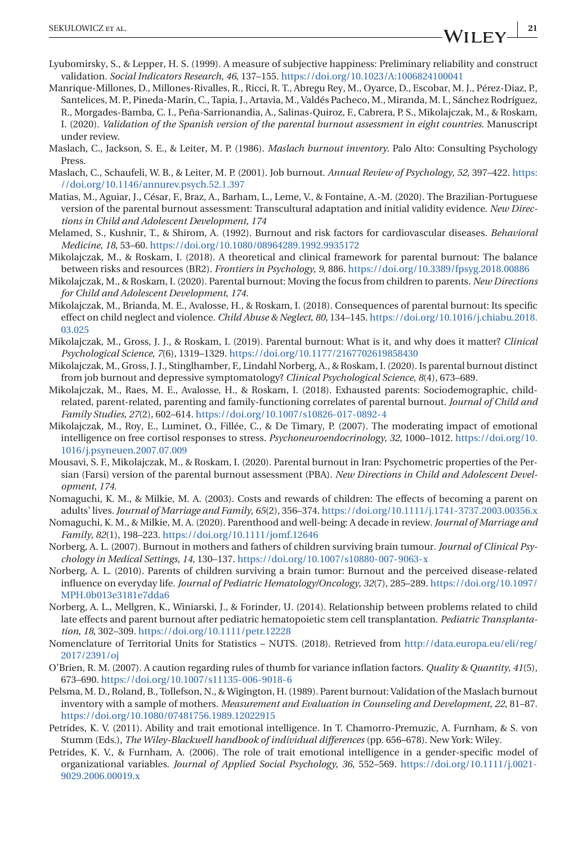- <span id="page-20-0"></span>Lyubomirsky, S., & Lepper, H. S. (1999). A measure of subjective happiness: Preliminary reliability and construct validation. *Social Indicators Research*, *46*, 137–155. <https://doi.org/10.1023/A:1006824100041>
- Manrique-Millones, D., Millones-Rivalles, R., Ricci, R. T., Abregu Rey, M., Oyarce, D., Escobar, M. J., Pérez-Diaz, P., Santelices, M. P., Pineda-Marín, C., Tapia, J., Artavia, M., Valdés Pacheco, M., Miranda, M. I., Sánchez Rodríguez, R., Morgades-Bamba, C. I., Peña-Sarrionandia, A., Salinas-Quiroz, F., Cabrera, P. S., Mikolajczak, M., & Roskam, I. (2020). *Validation of the Spanish version of the parental burnout assessment in eight countries*. Manuscript under review.
- Maslach, C., Jackson, S. E., & Leiter, M. P. (1986). *Maslach burnout inventory*. Palo Alto: Consulting Psychology Press.
- Maslach, C., Schaufeli, W. B., & Leiter, M. P. (2001). Job burnout. *Annual Review of Psychology*, *52*, 397–422. [https:](https://doi.org/10.1146/annurev.psych.52.1.397) [//doi.org/10.1146/annurev.psych.52.1.397](https://doi.org/10.1146/annurev.psych.52.1.397)
- Matias, M., Aguiar, J., César, F., Braz, A., Barham, L., Leme, V., & Fontaine, A.-M. (2020). The Brazilian-Portuguese version of the parental burnout assessment: Transcultural adaptation and initial validity evidence. *New Directions in Child and Adolescent Development*, *174*
- Melamed, S., Kushnir, T., & Shirom, A. (1992). Burnout and risk factors for cardiovascular diseases. *Behavioral Medicine*, *18*, 53–60. <https://doi.org/10.1080/08964289.1992.9935172>
- Mikolajczak, M., & Roskam, I. (2018). A theoretical and clinical framework for parental burnout: The balance between risks and resources (BR2). *Frontiers in Psychology*, *9*, 886. <https://doi.org/10.3389/fpsyg.2018.00886>
- Mikolajczak, M., & Roskam, I. (2020). Parental burnout: Moving the focus from children to parents. *New Directions for Child and Adolescent Development*, *174*.
- Mikolajczak, M., Brianda, M. E., Avalosse, H., & Roskam, I. (2018). Consequences of parental burnout: Its specific effect on child neglect and violence. *Child Abuse & Neglect*, *80*, 134–145. [https://doi.org/10.1016/j.chiabu.2018.](https://doi.org/10.1016/j.chiabu.2018.03.025) [03.025](https://doi.org/10.1016/j.chiabu.2018.03.025)
- Mikolajczak, M., Gross, J. J., & Roskam, I. (2019). Parental burnout: What is it, and why does it matter? *Clinical Psychological Science*, *7*(6), 1319–1329. <https://doi.org/10.1177/2167702619858430>
- Mikolajczak, M., Gross, J. J., Stinglhamber, F., Lindahl Norberg, A., & Roskam, I. (2020). Is parental burnout distinct from job burnout and depressive symptomatology? *Clinical Psychological Science*, *8*(4), 673–689.
- Mikolajczak, M., Raes, M. E., Avalosse, H., & Roskam, I. (2018). Exhausted parents: Sociodemographic, childrelated, parent-related, parenting and family-functioning correlates of parental burnout. *Journal of Child and Family Studies*, *27*(2), 602–614. <https://doi.org/10.1007/s10826-017-0892-4>
- Mikolajczak, M., Roy, E., Luminet, O., Fillée, C., & De Timary, P. (2007). The moderating impact of emotional intelligence on free cortisol responses to stress. *Psychoneuroendocrinology*, *32*, 1000–1012. [https://doi.org/10.](https://doi.org/10.1016/j.psyneuen.2007.07.009) [1016/j.psyneuen.2007.07.009](https://doi.org/10.1016/j.psyneuen.2007.07.009)
- Mousavi, S. F., Mikolajczak, M., & Roskam, I. (2020). Parental burnout in Iran: Psychometric properties of the Persian (Farsi) version of the parental burnout assessment (PBA). *New Directions in Child and Adolescent Development*, *174*.
- Nomaguchi, K. M., & Milkie, M. A. (2003). Costs and rewards of children: The effects of becoming a parent on adults' lives. *Journal of Marriage and Family*, *65*(2), 356–374. <https://doi.org/10.1111/j.1741-3737.2003.00356.x>
- Nomaguchi, K. M., & Milkie, M. A. (2020). Parenthood and well-being: A decade in review. *Journal of Marriage and Family*, *82*(1), 198–223. <https://doi.org/10.1111/jomf.12646>
- Norberg, A. L. (2007). Burnout in mothers and fathers of children surviving brain tumour. *Journal of Clinical Psychology in Medical Settings*, *14*, 130–137. <https://doi.org/10.1007/s10880-007-9063-x>
- Norberg, A. L. (2010). Parents of children surviving a brain tumor: Burnout and the perceived disease-related influence on everyday life. *Journal of Pediatric Hematology/Oncology*, *32*(7), 285–289. [https://doi.org/10.1097/](https://doi.org/10.1097/MPH.0b013e3181e7dda6) [MPH.0b013e3181e7dda6](https://doi.org/10.1097/MPH.0b013e3181e7dda6)
- Norberg, A. L., Mellgren, K., Winiarski, J., & Forinder, U. (2014). Relationship between problems related to child late effects and parent burnout after pediatric hematopoietic stem cell transplantation. *Pediatric Transplantation*, *18*, 302–309. <https://doi.org/10.1111/petr.12228>
- Nomenclature of Territorial Units for Statistics NUTS. (2018). Retrieved from [http://data.europa.eu/eli/reg/](http://data.europa.eu/eli/reg/2017/2391/oj) [2017/2391/oj](http://data.europa.eu/eli/reg/2017/2391/oj)
- O'Brien, R. M. (2007). A caution regarding rules of thumb for variance inflation factors. *Quality & Quantity*, *41*(5), 673–690. <https://doi.org/10.1007/s11135-006-9018-6>
- Pelsma, M. D., Roland, B., Tollefson, N., & Wigington, H. (1989). Parent burnout: Validation of the Maslach burnout inventory with a sample of mothers. *Measurement and Evaluation in Counseling and Development*, *22*, 81–87. <https://doi.org/10.1080/07481756.1989.12022915>
- Petrides, K. V. (2011). Ability and trait emotional intelligence. In T. Chamorro-Premuzic, A. Furnham, & S. von Stumm (Eds.), *The Wiley-Blackwell handbook of individual differences* (pp. 656–678). New York: Wiley.
- Petrides, K. V., & Furnham, A. (2006). The role of trait emotional intelligence in a gender-specific model of organizational variables. *Journal of Applied Social Psychology*, *36*, 552–569. [https://doi.org/10.1111/j.0021-](https://doi.org/10.1111/j.0021-9029.2006.00019.x) [9029.2006.00019.x](https://doi.org/10.1111/j.0021-9029.2006.00019.x)